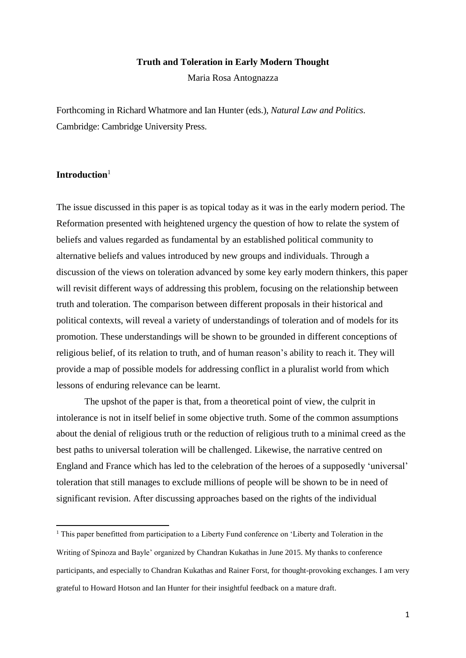## **Truth and Toleration in Early Modern Thought**

Maria Rosa Antognazza

Forthcoming in Richard Whatmore and Ian Hunter (eds.), *Natural Law and Politics*. Cambridge: Cambridge University Press.

# **Introduction**<sup>1</sup>

**.** 

The issue discussed in this paper is as topical today as it was in the early modern period. The Reformation presented with heightened urgency the question of how to relate the system of beliefs and values regarded as fundamental by an established political community to alternative beliefs and values introduced by new groups and individuals. Through a discussion of the views on toleration advanced by some key early modern thinkers, this paper will revisit different ways of addressing this problem, focusing on the relationship between truth and toleration. The comparison between different proposals in their historical and political contexts, will reveal a variety of understandings of toleration and of models for its promotion. These understandings will be shown to be grounded in different conceptions of religious belief, of its relation to truth, and of human reason's ability to reach it. They will provide a map of possible models for addressing conflict in a pluralist world from which lessons of enduring relevance can be learnt.

The upshot of the paper is that, from a theoretical point of view, the culprit in intolerance is not in itself belief in some objective truth. Some of the common assumptions about the denial of religious truth or the reduction of religious truth to a minimal creed as the best paths to universal toleration will be challenged. Likewise, the narrative centred on England and France which has led to the celebration of the heroes of a supposedly 'universal' toleration that still manages to exclude millions of people will be shown to be in need of significant revision. After discussing approaches based on the rights of the individual

<sup>&</sup>lt;sup>1</sup> This paper benefitted from participation to a Liberty Fund conference on 'Liberty and Toleration in the Writing of Spinoza and Bayle' organized by Chandran Kukathas in June 2015. My thanks to conference participants, and especially to Chandran Kukathas and Rainer Forst, for thought-provoking exchanges. I am very grateful to Howard Hotson and Ian Hunter for their insightful feedback on a mature draft.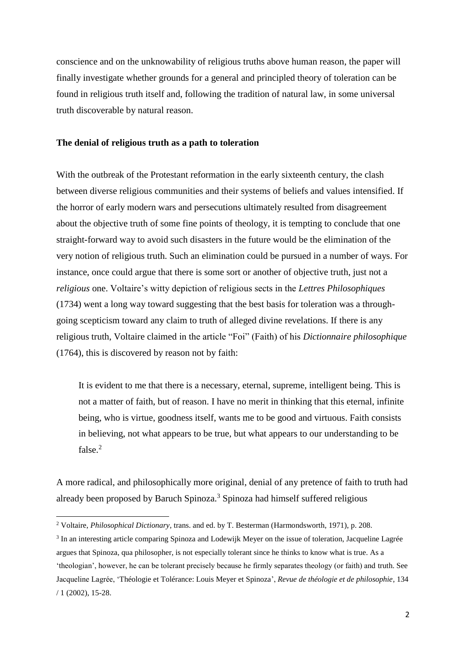conscience and on the unknowability of religious truths above human reason, the paper will finally investigate whether grounds for a general and principled theory of toleration can be found in religious truth itself and, following the tradition of natural law, in some universal truth discoverable by natural reason.

## **The denial of religious truth as a path to toleration**

With the outbreak of the Protestant reformation in the early sixteenth century, the clash between diverse religious communities and their systems of beliefs and values intensified. If the horror of early modern wars and persecutions ultimately resulted from disagreement about the objective truth of some fine points of theology, it is tempting to conclude that one straight-forward way to avoid such disasters in the future would be the elimination of the very notion of religious truth. Such an elimination could be pursued in a number of ways. For instance, once could argue that there is some sort or another of objective truth, just not a *religious* one. Voltaire's witty depiction of religious sects in the *Lettres Philosophiques*  (1734) went a long way toward suggesting that the best basis for toleration was a throughgoing scepticism toward any claim to truth of alleged divine revelations. If there is any religious truth, Voltaire claimed in the article "Foi" (Faith) of his *Dictionnaire philosophique*  (1764), this is discovered by reason not by faith:

It is evident to me that there is a necessary, eternal, supreme, intelligent being. This is not a matter of faith, but of reason. I have no merit in thinking that this eternal, infinite being, who is virtue, goodness itself, wants me to be good and virtuous. Faith consists in believing, not what appears to be true, but what appears to our understanding to be false.<sup>2</sup>

A more radical, and philosophically more original, denial of any pretence of faith to truth had already been proposed by Baruch Spinoza.<sup>3</sup> Spinoza had himself suffered religious

 $\overline{a}$ 

<sup>2</sup> Voltaire, *Philosophical Dictionary*, trans. and ed. by T. Besterman (Harmondsworth, 1971), p. 208.

<sup>&</sup>lt;sup>3</sup> In an interesting article comparing Spinoza and Lodewijk Meyer on the issue of toleration, Jacqueline Lagrée argues that Spinoza, qua philosopher, is not especially tolerant since he thinks to know what is true. As a 'theologian', however, he can be tolerant precisely because he firmly separates theology (or faith) and truth. See Jacqueline Lagrée, 'Théologie et Tolérance: Louis Meyer et Spinoza', *Revue de théologie et de philosophie*, 134 / 1 (2002), 15-28.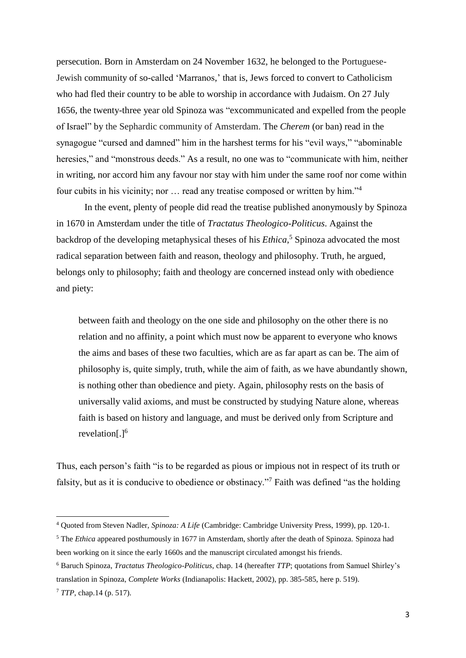persecution. Born in Amsterdam on 24 November 1632, he belonged to the Portuguese-Jewish community of so-called 'Marranos,' that is, Jews forced to convert to Catholicism who had fled their country to be able to worship in accordance with Judaism. On 27 July 1656, the twenty-three year old Spinoza was "excommunicated and expelled from the people of Israel" by the Sephardic community of Amsterdam. The *Cherem* (or ban) read in the synagogue "cursed and damned" him in the harshest terms for his "evil ways," "abominable heresies," and "monstrous deeds." As a result, no one was to "communicate with him, neither in writing, nor accord him any favour nor stay with him under the same roof nor come within four cubits in his vicinity; nor … read any treatise composed or written by him."<sup>4</sup>

In the event, plenty of people did read the treatise published anonymously by Spinoza in 1670 in Amsterdam under the title of *Tractatus Theologico-Politicus*. Against the backdrop of the developing metaphysical theses of his *Ethica*, <sup>5</sup> Spinoza advocated the most radical separation between faith and reason, theology and philosophy. Truth, he argued, belongs only to philosophy; faith and theology are concerned instead only with obedience and piety:

between faith and theology on the one side and philosophy on the other there is no relation and no affinity, a point which must now be apparent to everyone who knows the aims and bases of these two faculties, which are as far apart as can be. The aim of philosophy is, quite simply, truth, while the aim of faith, as we have abundantly shown, is nothing other than obedience and piety. Again, philosophy rests on the basis of universally valid axioms, and must be constructed by studying Nature alone, whereas faith is based on history and language, and must be derived only from Scripture and revelation[.] 6

Thus, each person's faith "is to be regarded as pious or impious not in respect of its truth or falsity, but as it is conducive to obedience or obstinacy."<sup>7</sup> Faith was defined "as the holding

 $\overline{a}$ 

<sup>4</sup> Quoted from Steven Nadler, *Spinoza: A Life* (Cambridge: Cambridge University Press, 1999), pp. 120-1.

<sup>&</sup>lt;sup>5</sup> The *Ethica* appeared posthumously in 1677 in Amsterdam, shortly after the death of Spinoza. Spinoza had been working on it since the early 1660s and the manuscript circulated amongst his friends.

<sup>6</sup> Baruch Spinoza, *Tractatus Theologico-Politicus*, chap. 14 (hereafter *TTP*; quotations from Samuel Shirley's translation in Spinoza, *Complete Works* (Indianapolis: Hackett, 2002), pp. 385-585, here p. 519). <sup>7</sup> *TTP*, chap.14 (p. 517).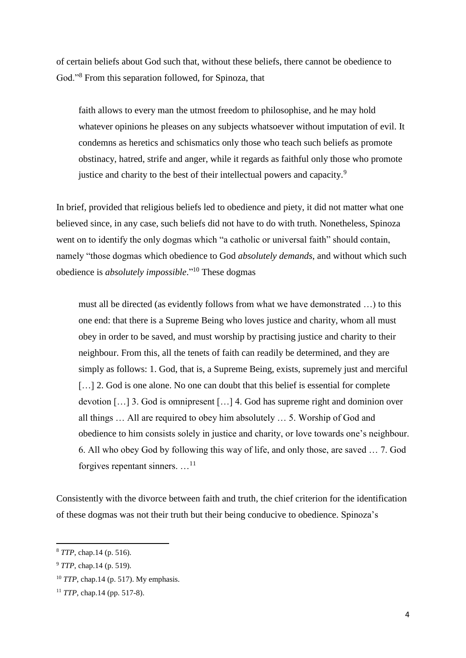of certain beliefs about God such that, without these beliefs, there cannot be obedience to God."<sup>8</sup> From this separation followed, for Spinoza, that

faith allows to every man the utmost freedom to philosophise, and he may hold whatever opinions he pleases on any subjects whatsoever without imputation of evil. It condemns as heretics and schismatics only those who teach such beliefs as promote obstinacy, hatred, strife and anger, while it regards as faithful only those who promote justice and charity to the best of their intellectual powers and capacity.<sup>9</sup>

In brief, provided that religious beliefs led to obedience and piety, it did not matter what one believed since, in any case, such beliefs did not have to do with truth. Nonetheless, Spinoza went on to identify the only dogmas which "a catholic or universal faith" should contain, namely "those dogmas which obedience to God *absolutely demands*, and without which such obedience is *absolutely impossible*." <sup>10</sup> These dogmas

must all be directed (as evidently follows from what we have demonstrated …) to this one end: that there is a Supreme Being who loves justice and charity, whom all must obey in order to be saved, and must worship by practising justice and charity to their neighbour. From this, all the tenets of faith can readily be determined, and they are simply as follows: 1. God, that is, a Supreme Being, exists, supremely just and merciful [...] 2. God is one alone. No one can doubt that this belief is essential for complete devotion […] 3. God is omnipresent […] 4. God has supreme right and dominion over all things … All are required to obey him absolutely … 5. Worship of God and obedience to him consists solely in justice and charity, or love towards one's neighbour. 6. All who obey God by following this way of life, and only those, are saved … 7. God forgives repentant sinners. …<sup>11</sup>

Consistently with the divorce between faith and truth, the chief criterion for the identification of these dogmas was not their truth but their being conducive to obedience. Spinoza's

<sup>8</sup> *TTP*, chap.14 (p. 516).

<sup>9</sup> *TTP*, chap.14 (p. 519).

<sup>10</sup> *TTP*, chap.14 (p. 517). My emphasis.

<sup>11</sup> *TTP*, chap.14 (pp. 517-8).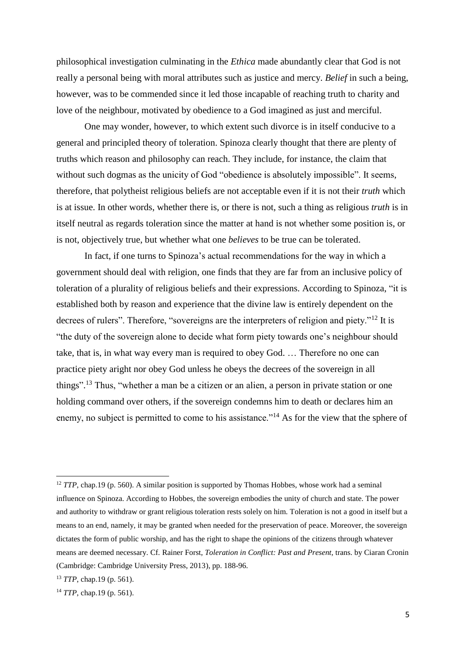philosophical investigation culminating in the *Ethica* made abundantly clear that God is not really a personal being with moral attributes such as justice and mercy. *Belief* in such a being, however, was to be commended since it led those incapable of reaching truth to charity and love of the neighbour, motivated by obedience to a God imagined as just and merciful.

One may wonder, however, to which extent such divorce is in itself conducive to a general and principled theory of toleration. Spinoza clearly thought that there are plenty of truths which reason and philosophy can reach. They include, for instance, the claim that without such dogmas as the unicity of God "obedience is absolutely impossible". It seems, therefore, that polytheist religious beliefs are not acceptable even if it is not their *truth* which is at issue. In other words, whether there is, or there is not, such a thing as religious *truth* is in itself neutral as regards toleration since the matter at hand is not whether some position is, or is not, objectively true, but whether what one *believes* to be true can be tolerated.

In fact, if one turns to Spinoza's actual recommendations for the way in which a government should deal with religion, one finds that they are far from an inclusive policy of toleration of a plurality of religious beliefs and their expressions. According to Spinoza, "it is established both by reason and experience that the divine law is entirely dependent on the decrees of rulers". Therefore, "sovereigns are the interpreters of religion and piety."<sup>12</sup> It is "the duty of the sovereign alone to decide what form piety towards one's neighbour should take, that is, in what way every man is required to obey God. … Therefore no one can practice piety aright nor obey God unless he obeys the decrees of the sovereign in all things". <sup>13</sup> Thus, "whether a man be a citizen or an alien, a person in private station or one holding command over others, if the sovereign condemns him to death or declares him an enemy, no subject is permitted to come to his assistance."<sup>14</sup> As for the view that the sphere of

<sup>&</sup>lt;sup>12</sup> *TTP*, chap.19 (p. 560). A similar position is supported by Thomas Hobbes, whose work had a seminal influence on Spinoza. According to Hobbes, the sovereign embodies the unity of church and state. The power and authority to withdraw or grant religious toleration rests solely on him. Toleration is not a good in itself but a means to an end, namely, it may be granted when needed for the preservation of peace. Moreover, the sovereign dictates the form of public worship, and has the right to shape the opinions of the citizens through whatever means are deemed necessary. Cf. Rainer Forst, *Toleration in Conflict: Past and Present*, trans. by Ciaran Cronin (Cambridge: Cambridge University Press, 2013), pp. 188-96.

<sup>13</sup> *TTP*, chap.19 (p. 561).

<sup>14</sup> *TTP*, chap.19 (p. 561).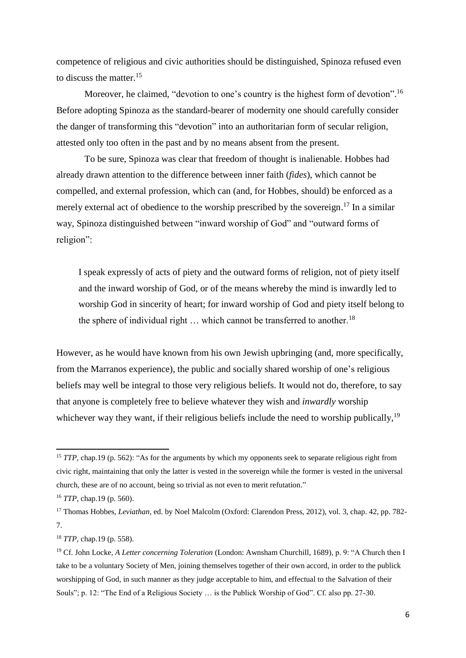competence of religious and civic authorities should be distinguished, Spinoza refused even to discuss the matter. 15

Moreover, he claimed, "devotion to one's country is the highest form of devotion".<sup>16</sup> Before adopting Spinoza as the standard-bearer of modernity one should carefully consider the danger of transforming this "devotion" into an authoritarian form of secular religion, attested only too often in the past and by no means absent from the present.

To be sure, Spinoza was clear that freedom of thought is inalienable. Hobbes had already drawn attention to the difference between inner faith (*fides*), which cannot be compelled, and external profession, which can (and, for Hobbes, should) be enforced as a merely external act of obedience to the worship prescribed by the sovereign.<sup>17</sup> In a similar way, Spinoza distinguished between "inward worship of God" and "outward forms of religion":

I speak expressly of acts of piety and the outward forms of religion, not of piety itself and the inward worship of God, or of the means whereby the mind is inwardly led to worship God in sincerity of heart; for inward worship of God and piety itself belong to the sphere of individual right  $\ldots$  which cannot be transferred to another.<sup>18</sup>

However, as he would have known from his own Jewish upbringing (and, more specifically, from the Marranos experience), the public and socially shared worship of one's religious beliefs may well be integral to those very religious beliefs. It would not do, therefore, to say that anyone is completely free to believe whatever they wish and *inwardly* worship whichever way they want, if their religious beliefs include the need to worship publically,<sup>19</sup>

<sup>&</sup>lt;sup>15</sup> *TTP*, chap.19 (p. 562): "As for the arguments by which my opponents seek to separate religious right from civic right, maintaining that only the latter is vested in the sovereign while the former is vested in the universal church, these are of no account, being so trivial as not even to merit refutation."

<sup>16</sup> *TTP*, chap.19 (p. 560).

<sup>17</sup> Thomas Hobbes, *Leviathan*, ed. by Noel Malcolm (Oxford: Clarendon Press, 2012), vol. 3, chap. 42, pp. 782- 7.

<sup>18</sup> *TTP*, chap.19 (p. 558).

<sup>19</sup> Cf. John Locke, *A Letter concerning Toleration* (London: Awnsham Churchill, 1689), p. 9: "A Church then I take to be a voluntary Society of Men, joining themselves together of their own accord, in order to the publick worshipping of God, in such manner as they judge acceptable to him, and effectual to the Salvation of their Souls"; p. 12: "The End of a Religious Society … is the Publick Worship of God". Cf. also pp. 27-30.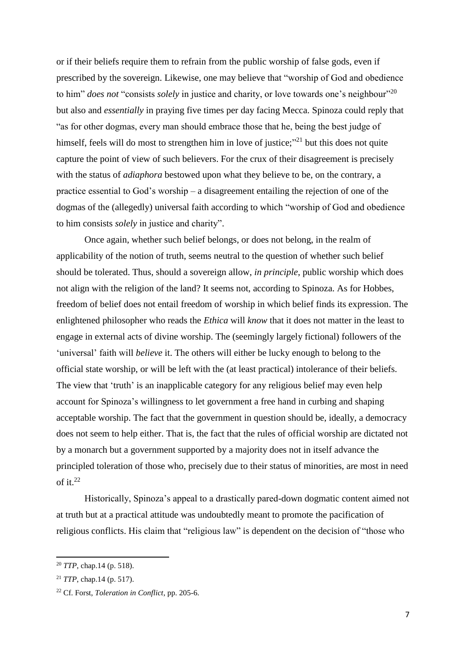or if their beliefs require them to refrain from the public worship of false gods, even if prescribed by the sovereign. Likewise, one may believe that "worship of God and obedience to him" *does not* "consists *solely* in justice and charity, or love towards one's neighbour"<sup>20</sup> but also and *essentially* in praying five times per day facing Mecca. Spinoza could reply that "as for other dogmas, every man should embrace those that he, being the best judge of himself, feels will do most to strengthen him in love of justice;"<sup>21</sup> but this does not quite capture the point of view of such believers. For the crux of their disagreement is precisely with the status of *adiaphora* bestowed upon what they believe to be, on the contrary, a practice essential to God's worship – a disagreement entailing the rejection of one of the dogmas of the (allegedly) universal faith according to which "worship of God and obedience to him consists *solely* in justice and charity".

Once again, whether such belief belongs, or does not belong, in the realm of applicability of the notion of truth, seems neutral to the question of whether such belief should be tolerated. Thus, should a sovereign allow, *in principle*, public worship which does not align with the religion of the land? It seems not, according to Spinoza. As for Hobbes, freedom of belief does not entail freedom of worship in which belief finds its expression. The enlightened philosopher who reads the *Ethica* will *know* that it does not matter in the least to engage in external acts of divine worship. The (seemingly largely fictional) followers of the 'universal' faith will *believe* it. The others will either be lucky enough to belong to the official state worship, or will be left with the (at least practical) intolerance of their beliefs. The view that 'truth' is an inapplicable category for any religious belief may even help account for Spinoza's willingness to let government a free hand in curbing and shaping acceptable worship. The fact that the government in question should be, ideally, a democracy does not seem to help either. That is, the fact that the rules of official worship are dictated not by a monarch but a government supported by a majority does not in itself advance the principled toleration of those who, precisely due to their status of minorities, are most in need of it.<sup>22</sup>

Historically, Spinoza's appeal to a drastically pared-down dogmatic content aimed not at truth but at a practical attitude was undoubtedly meant to promote the pacification of religious conflicts. His claim that "religious law" is dependent on the decision of "those who

<sup>20</sup> *TTP*, chap.14 (p. 518).

<sup>21</sup> *TTP*, chap.14 (p. 517).

<sup>22</sup> Cf. Forst, *Toleration in Conflict*, pp. 205-6.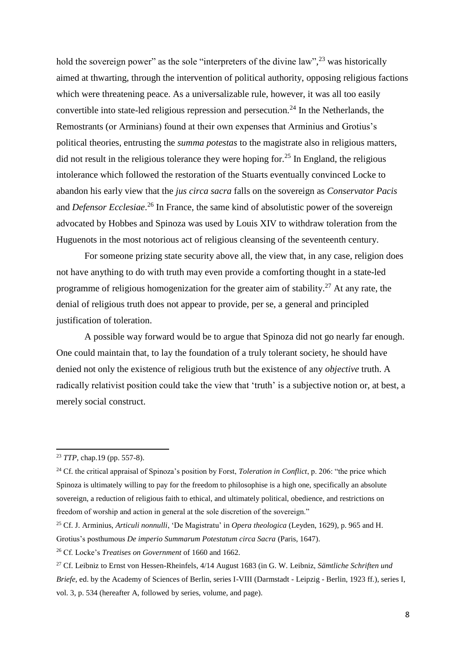hold the sovereign power" as the sole "interpreters of the divine law",<sup>23</sup> was historically aimed at thwarting, through the intervention of political authority, opposing religious factions which were threatening peace. As a universalizable rule, however, it was all too easily convertible into state-led religious repression and persecution.<sup>24</sup> In the Netherlands, the Remostrants (or Arminians) found at their own expenses that Arminius and Grotius's political theories, entrusting the *summa potestas* to the magistrate also in religious matters, did not result in the religious tolerance they were hoping for.<sup>25</sup> In England, the religious intolerance which followed the restoration of the Stuarts eventually convinced Locke to abandon his early view that the *jus circa sacra* falls on the sovereign as *Conservator Pacis*  and *Defensor Ecclesiae*. <sup>26</sup> In France, the same kind of absolutistic power of the sovereign advocated by Hobbes and Spinoza was used by Louis XIV to withdraw toleration from the Huguenots in the most notorious act of religious cleansing of the seventeenth century.

For someone prizing state security above all, the view that, in any case, religion does not have anything to do with truth may even provide a comforting thought in a state-led programme of religious homogenization for the greater aim of stability.<sup>27</sup> At any rate, the denial of religious truth does not appear to provide, per se, a general and principled justification of toleration.

A possible way forward would be to argue that Spinoza did not go nearly far enough. One could maintain that, to lay the foundation of a truly tolerant society, he should have denied not only the existence of religious truth but the existence of any *objective* truth. A radically relativist position could take the view that 'truth' is a subjective notion or, at best, a merely social construct.

<sup>23</sup> *TTP*, chap.19 (pp. 557-8).

<sup>&</sup>lt;sup>24</sup> Cf. the critical appraisal of Spinoza's position by Forst, *Toleration in Conflict*, p. 206: "the price which Spinoza is ultimately willing to pay for the freedom to philosophise is a high one, specifically an absolute sovereign, a reduction of religious faith to ethical, and ultimately political, obedience, and restrictions on freedom of worship and action in general at the sole discretion of the sovereign."

<sup>25</sup> Cf. J. Arminius, *Articuli nonnulli*, 'De Magistratu' in *Opera theologica* (Leyden, 1629), p. 965 and H. Grotius's posthumous *De imperio Summarum Potestatum circa Sacra* (Paris, 1647).

<sup>26</sup> Cf. Locke's *Treatises on Government* of 1660 and 1662.

<sup>27</sup> Cf. Leibniz to Ernst von Hessen-Rheinfels, 4/14 August 1683 (in G. W. Leibniz, *Sämtliche Schriften und Briefe*, ed. by the Academy of Sciences of Berlin, series I-VIII (Darmstadt - Leipzig - Berlin, 1923 ff.), series I, vol. 3, p. 534 (hereafter A, followed by series, volume, and page).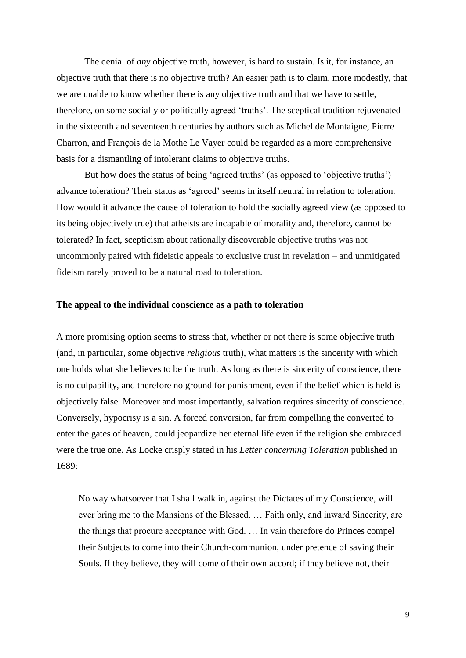The denial of *any* objective truth, however, is hard to sustain. Is it, for instance, an objective truth that there is no objective truth? An easier path is to claim, more modestly, that we are unable to know whether there is any objective truth and that we have to settle, therefore, on some socially or politically agreed 'truths'. The sceptical tradition rejuvenated in the sixteenth and seventeenth centuries by authors such as Michel de Montaigne, Pierre Charron, and François de la Mothe Le Vayer could be regarded as a more comprehensive basis for a dismantling of intolerant claims to objective truths.

But how does the status of being 'agreed truths' (as opposed to 'objective truths') advance toleration? Their status as 'agreed' seems in itself neutral in relation to toleration. How would it advance the cause of toleration to hold the socially agreed view (as opposed to its being objectively true) that atheists are incapable of morality and, therefore, cannot be tolerated? In fact, scepticism about rationally discoverable objective truths was not uncommonly paired with fideistic appeals to exclusive trust in revelation – and unmitigated fideism rarely proved to be a natural road to toleration.

## **The appeal to the individual conscience as a path to toleration**

A more promising option seems to stress that, whether or not there is some objective truth (and, in particular, some objective *religious* truth), what matters is the sincerity with which one holds what she believes to be the truth. As long as there is sincerity of conscience, there is no culpability, and therefore no ground for punishment, even if the belief which is held is objectively false. Moreover and most importantly, salvation requires sincerity of conscience. Conversely, hypocrisy is a sin. A forced conversion, far from compelling the converted to enter the gates of heaven, could jeopardize her eternal life even if the religion she embraced were the true one. As Locke crisply stated in his *Letter concerning Toleration* published in 1689:

No way whatsoever that I shall walk in, against the Dictates of my Conscience, will ever bring me to the Mansions of the Blessed. … Faith only, and inward Sincerity, are the things that procure acceptance with God. … In vain therefore do Princes compel their Subjects to come into their Church-communion, under pretence of saving their Souls. If they believe, they will come of their own accord; if they believe not, their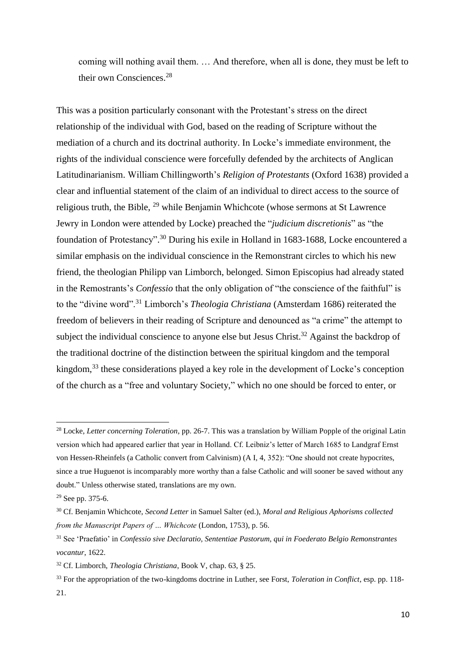coming will nothing avail them. … And therefore, when all is done, they must be left to their own Consciences.<sup>28</sup>

This was a position particularly consonant with the Protestant's stress on the direct relationship of the individual with God, based on the reading of Scripture without the mediation of a church and its doctrinal authority. In Locke's immediate environment, the rights of the individual conscience were forcefully defended by the architects of Anglican Latitudinarianism. William Chillingworth's *Religion of Protestants* (Oxford 1638) provided a clear and influential statement of the claim of an individual to direct access to the source of religious truth, the Bible, <sup>29</sup> while Benjamin Whichcote (whose sermons at St Lawrence Jewry in London were attended by Locke) preached the "*judicium discretionis*" as "the foundation of Protestancy".<sup>30</sup> During his exile in Holland in 1683-1688, Locke encountered a similar emphasis on the individual conscience in the Remonstrant circles to which his new friend, the theologian Philipp van Limborch, belonged. Simon Episcopius had already stated in the Remostrants's *Confessio* that the only obligation of "the conscience of the faithful" is to the "divine word".<sup>31</sup> Limborch's *Theologia Christiana* (Amsterdam 1686) reiterated the freedom of believers in their reading of Scripture and denounced as "a crime" the attempt to subject the individual conscience to anyone else but Jesus Christ.<sup>32</sup> Against the backdrop of the traditional doctrine of the distinction between the spiritual kingdom and the temporal kingdom,<sup>33</sup> these considerations played a key role in the development of Locke's conception of the church as a "free and voluntary Society," which no one should be forced to enter, or

<sup>28</sup> Locke, *Letter concerning Toleration*, pp. 26-7. This was a translation by William Popple of the original Latin version which had appeared earlier that year in Holland. Cf. Leibniz's letter of March 1685 to Landgraf Ernst von Hessen-Rheinfels (a Catholic convert from Calvinism) (A I, 4, 352): "One should not create hypocrites, since a true Huguenot is incomparably more worthy than a false Catholic and will sooner be saved without any doubt." Unless otherwise stated, translations are my own.

<sup>29</sup> See pp. 375-6.

<sup>30</sup> Cf. Benjamin Whichcote, *Second Letter* in Samuel Salter (ed.), *Moral and Religious Aphorisms collected from the Manuscript Papers of … Whichcote* (London, 1753), p. 56.

<sup>31</sup> See 'Praefatio' in *Confessio sive Declaratio, Sententiae Pastorum, qui in Foederato Belgio Remonstrantes vocantur*, 1622.

<sup>32</sup> Cf. Limborch, *Theologia Christiana*, Book V, chap. 63, § 25.

<sup>33</sup> For the appropriation of the two-kingdoms doctrine in Luther, see Forst, *Toleration in Conflict*, esp. pp. 118- 21.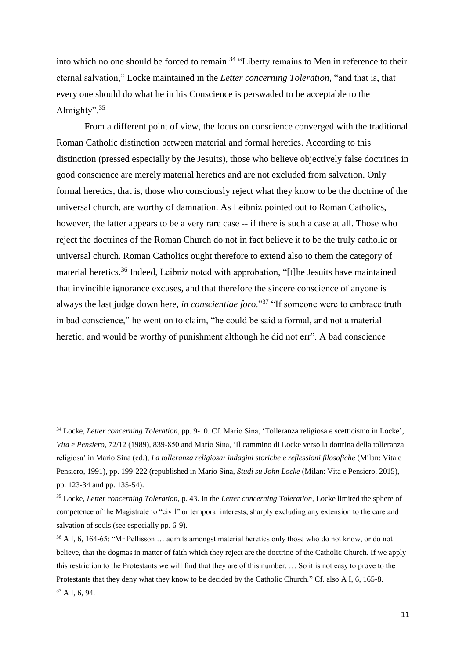into which no one should be forced to remain.<sup>34</sup> "Liberty remains to Men in reference to their eternal salvation," Locke maintained in the *Letter concerning Toleration*, "and that is, that every one should do what he in his Conscience is perswaded to be acceptable to the Almighty".<sup>35</sup>

From a different point of view, the focus on conscience converged with the traditional Roman Catholic distinction between material and formal heretics. According to this distinction (pressed especially by the Jesuits), those who believe objectively false doctrines in good conscience are merely material heretics and are not excluded from salvation. Only formal heretics, that is, those who consciously reject what they know to be the doctrine of the universal church, are worthy of damnation. As Leibniz pointed out to Roman Catholics, however, the latter appears to be a very rare case -- if there is such a case at all. Those who reject the doctrines of the Roman Church do not in fact believe it to be the truly catholic or universal church. Roman Catholics ought therefore to extend also to them the category of material heretics.<sup>36</sup> Indeed, Leibniz noted with approbation, "[t]he Jesuits have maintained that invincible ignorance excuses, and that therefore the sincere conscience of anyone is always the last judge down here, *in conscientiae foro*."<sup>37</sup> "If someone were to embrace truth in bad conscience," he went on to claim, "he could be said a formal, and not a material heretic; and would be worthy of punishment although he did not err". A bad conscience

<sup>34</sup> Locke, *Letter concerning Toleration*, pp. 9-10. Cf. Mario Sina, 'Tolleranza religiosa e scetticismo in Locke', *Vita e Pensiero*, 72/12 (1989), 839-850 and Mario Sina, 'Il cammino di Locke verso la dottrina della tolleranza religiosa' in Mario Sina (ed.), *La tolleranza religiosa: indagini storiche e reflessioni filosofiche* (Milan: Vita e Pensiero, 1991), pp. 199-222 (republished in Mario Sina, *Studi su John Locke* (Milan: Vita e Pensiero, 2015), pp. 123-34 and pp. 135-54).

<sup>35</sup> Locke, *Letter concerning Toleration*, p. 43. In the *Letter concerning Toleration*, Locke limited the sphere of competence of the Magistrate to "civil" or temporal interests, sharply excluding any extension to the care and salvation of souls (see especially pp. 6-9).

<sup>&</sup>lt;sup>36</sup> A I, 6, 164-65: "Mr Pellisson ... admits amongst material heretics only those who do not know, or do not believe, that the dogmas in matter of faith which they reject are the doctrine of the Catholic Church. If we apply this restriction to the Protestants we will find that they are of this number. … So it is not easy to prove to the Protestants that they deny what they know to be decided by the Catholic Church." Cf. also A I, 6, 165-8.  $37$  A I, 6, 94.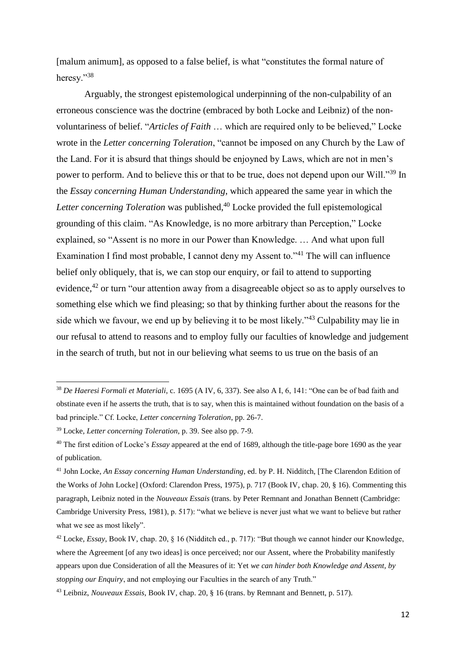[malum animum], as opposed to a false belief, is what "constitutes the formal nature of heresy."<sup>38</sup>

Arguably, the strongest epistemological underpinning of the non-culpability of an erroneous conscience was the doctrine (embraced by both Locke and Leibniz) of the nonvoluntariness of belief. "*Articles of Faith* … which are required only to be believed," Locke wrote in the *Letter concerning Toleration*, "cannot be imposed on any Church by the Law of the Land. For it is absurd that things should be enjoyned by Laws, which are not in men's power to perform. And to believe this or that to be true, does not depend upon our Will."<sup>39</sup> In the *Essay concerning Human Understanding*, which appeared the same year in which the *Letter concerning Toleration* was published, <sup>40</sup> Locke provided the full epistemological grounding of this claim. "As Knowledge, is no more arbitrary than Perception," Locke explained, so "Assent is no more in our Power than Knowledge. … And what upon full Examination I find most probable, I cannot deny my Assent to."<sup>41</sup> The will can influence belief only obliquely, that is, we can stop our enquiry, or fail to attend to supporting evidence,<sup>42</sup> or turn "our attention away from a disagreeable object so as to apply ourselves to something else which we find pleasing; so that by thinking further about the reasons for the side which we favour, we end up by believing it to be most likely."<sup>43</sup> Culpability may lie in our refusal to attend to reasons and to employ fully our faculties of knowledge and judgement in the search of truth, but not in our believing what seems to us true on the basis of an

<sup>38</sup> *De Haeresi Formali et Materiali*, c. 1695 (A IV, 6, 337). See also A I, 6, 141: "One can be of bad faith and obstinate even if he asserts the truth, that is to say, when this is maintained without foundation on the basis of a bad principle." Cf. Locke, *Letter concerning Toleration*, pp. 26-7.

<sup>39</sup> Locke, *Letter concerning Toleration*, p. 39. See also pp. 7-9.

<sup>40</sup> The first edition of Locke's *Essay* appeared at the end of 1689, although the title-page bore 1690 as the year of publication.

<sup>41</sup> John Locke, *An Essay concerning Human Understanding*, ed. by P. H. Nidditch, [The Clarendon Edition of the Works of John Locke] (Oxford: Clarendon Press, 1975), p. 717 (Book IV, chap. 20, § 16). Commenting this paragraph, Leibniz noted in the *Nouveaux Essais* (trans. by Peter Remnant and Jonathan Bennett (Cambridge: Cambridge University Press, 1981), p. 517): "what we believe is never just what we want to believe but rather what we see as most likely".

<sup>42</sup> Locke, *Essay*, Book IV, chap. 20, § 16 (Nidditch ed., p. 717): "But though we cannot hinder our Knowledge, where the Agreement [of any two ideas] is once perceived; nor our Assent, where the Probability manifestly appears upon due Consideration of all the Measures of it: Yet *we can hinder both Knowledge and Assent, by stopping our Enquiry*, and not employing our Faculties in the search of any Truth."

<sup>43</sup> Leibniz, *Nouveaux Essais*, Book IV, chap. 20, § 16 (trans. by Remnant and Bennett, p. 517).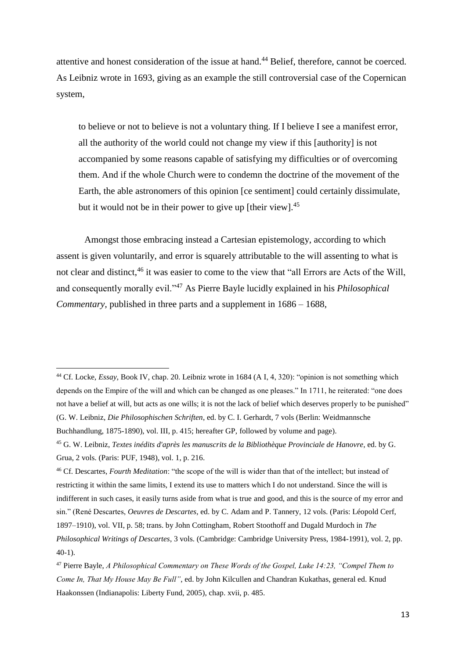attentive and honest consideration of the issue at hand. <sup>44</sup> Belief, therefore, cannot be coerced. As Leibniz wrote in 1693, giving as an example the still controversial case of the Copernican system,

to believe or not to believe is not a voluntary thing. If I believe I see a manifest error, all the authority of the world could not change my view if this [authority] is not accompanied by some reasons capable of satisfying my difficulties or of overcoming them. And if the whole Church were to condemn the doctrine of the movement of the Earth, the able astronomers of this opinion [ce sentiment] could certainly dissimulate, but it would not be in their power to give up [their view].<sup>45</sup>

Amongst those embracing instead a Cartesian epistemology, according to which assent is given voluntarily, and error is squarely attributable to the will assenting to what is not clear and distinct,<sup>46</sup> it was easier to come to the view that "all Errors are Acts of the Will, and consequently morally evil."<sup>47</sup> As Pierre Bayle lucidly explained in his *Philosophical Commentary,* published in three parts and a supplement in 1686 – 1688,

<sup>44</sup> Cf. Locke, *Essay*, Book IV, chap. 20. Leibniz wrote in 1684 (A I, 4, 320): "opinion is not something which depends on the Empire of the will and which can be changed as one pleases." In 1711, he reiterated: "one does not have a belief at will, but acts as one wills; it is not the lack of belief which deserves properly to be punished" (G. W. Leibniz, *Die Philosophischen Schriften*, ed. by C. I. Gerhardt, 7 vols (Berlin: Weidmannsche Buchhandlung, 1875-1890), vol. III, p. 415; hereafter GP, followed by volume and page).

<sup>45</sup> G. W. Leibniz, *Textes inédits d'après les manuscrits de la Bibliothèque Provinciale de Hanovre*, ed. by G. Grua, 2 vols. (Paris: PUF, 1948), vol. 1, p. 216.

<sup>46</sup> Cf. Descartes, *Fourth Meditation*: "the scope of the will is wider than that of the intellect; but instead of restricting it within the same limits, I extend its use to matters which I do not understand. Since the will is indifferent in such cases, it easily turns aside from what is true and good, and this is the source of my error and sin." (René Descartes, *Oeuvres de Descartes*, ed. by C. Adam and P. Tannery, 12 vols. (Paris: Léopold Cerf, 1897–1910), vol. VII, p. 58; trans. by John Cottingham, Robert Stoothoff and Dugald Murdoch in *The Philosophical Writings of Descartes*, 3 vols. (Cambridge: Cambridge University Press, 1984-1991), vol. 2, pp. 40-1).

<sup>47</sup> Pierre Bayle, *A Philosophical Commentary on These Words of the Gospel, Luke 14:23, "Compel Them to Come In, That My House May Be Full"*, ed. by John Kilcullen and Chandran Kukathas, general ed. Knud Haakonssen (Indianapolis: Liberty Fund, 2005), chap. xvii, p. 485.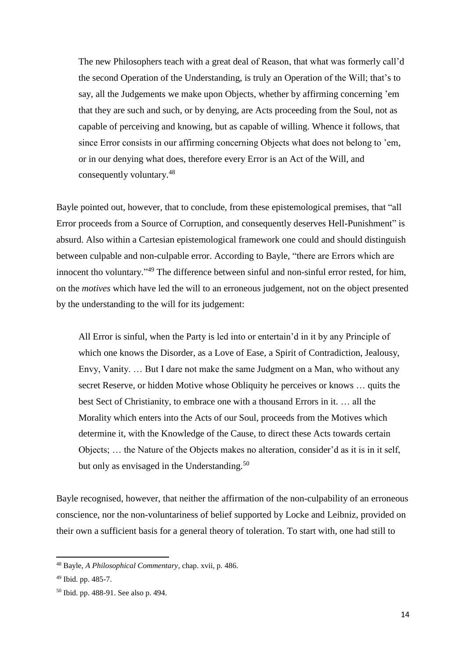The new Philosophers teach with a great deal of Reason, that what was formerly call'd the second Operation of the Understanding, is truly an Operation of the Will; that's to say, all the Judgements we make upon Objects, whether by affirming concerning 'em that they are such and such, or by denying, are Acts proceeding from the Soul, not as capable of perceiving and knowing, but as capable of willing. Whence it follows, that since Error consists in our affirming concerning Objects what does not belong to 'em, or in our denying what does, therefore every Error is an Act of the Will, and consequently voluntary.<sup>48</sup>

Bayle pointed out, however, that to conclude, from these epistemological premises, that "all Error proceeds from a Source of Corruption, and consequently deserves Hell-Punishment" is absurd. Also within a Cartesian epistemological framework one could and should distinguish between culpable and non-culpable error. According to Bayle, "there are Errors which are innocent tho voluntary." <sup>49</sup> The difference between sinful and non-sinful error rested, for him, on the *motives* which have led the will to an erroneous judgement, not on the object presented by the understanding to the will for its judgement:

All Error is sinful, when the Party is led into or entertain'd in it by any Principle of which one knows the Disorder, as a Love of Ease, a Spirit of Contradiction, Jealousy, Envy, Vanity. … But I dare not make the same Judgment on a Man, who without any secret Reserve, or hidden Motive whose Obliquity he perceives or knows … quits the best Sect of Christianity, to embrace one with a thousand Errors in it. … all the Morality which enters into the Acts of our Soul, proceeds from the Motives which determine it, with the Knowledge of the Cause, to direct these Acts towards certain Objects; … the Nature of the Objects makes no alteration, consider'd as it is in it self, but only as envisaged in the Understanding.<sup>50</sup>

Bayle recognised, however, that neither the affirmation of the non-culpability of an erroneous conscience, nor the non-voluntariness of belief supported by Locke and Leibniz, provided on their own a sufficient basis for a general theory of toleration. To start with, one had still to

<sup>48</sup> Bayle, *A Philosophical Commentary*, chap. xvii, p. 486.

<sup>49</sup> Ibid. pp. 485-7.

<sup>50</sup> Ibid. pp. 488-91. See also p. 494.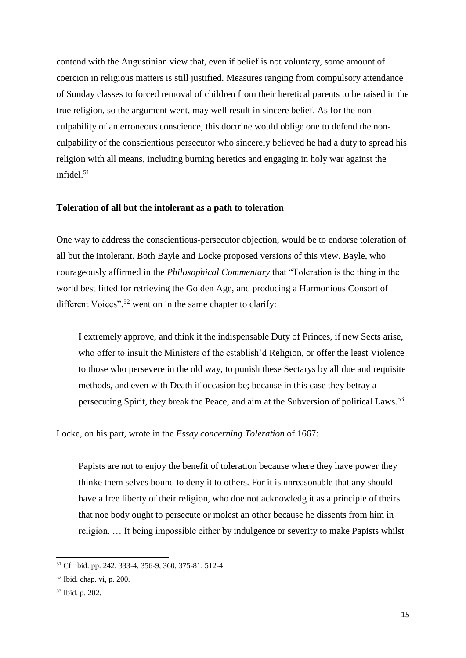contend with the Augustinian view that, even if belief is not voluntary, some amount of coercion in religious matters is still justified. Measures ranging from compulsory attendance of Sunday classes to forced removal of children from their heretical parents to be raised in the true religion, so the argument went, may well result in sincere belief. As for the nonculpability of an erroneous conscience, this doctrine would oblige one to defend the nonculpability of the conscientious persecutor who sincerely believed he had a duty to spread his religion with all means, including burning heretics and engaging in holy war against the infidel. $51$ 

## **Toleration of all but the intolerant as a path to toleration**

One way to address the conscientious-persecutor objection, would be to endorse toleration of all but the intolerant. Both Bayle and Locke proposed versions of this view. Bayle, who courageously affirmed in the *Philosophical Commentary* that "Toleration is the thing in the world best fitted for retrieving the Golden Age, and producing a Harmonious Consort of different Voices",  $52$  went on in the same chapter to clarify:

I extremely approve, and think it the indispensable Duty of Princes, if new Sects arise, who offer to insult the Ministers of the establish'd Religion, or offer the least Violence to those who persevere in the old way, to punish these Sectarys by all due and requisite methods, and even with Death if occasion be; because in this case they betray a persecuting Spirit, they break the Peace, and aim at the Subversion of political Laws.<sup>53</sup>

Locke, on his part, wrote in the *Essay concerning Toleration* of 1667:

Papists are not to enjoy the benefit of toleration because where they have power they thinke them selves bound to deny it to others. For it is unreasonable that any should have a free liberty of their religion, who doe not acknowledg it as a principle of theirs that noe body ought to persecute or molest an other because he dissents from him in religion. … It being impossible either by indulgence or severity to make Papists whilst

<sup>51</sup> Cf. ibid. pp. 242, 333-4, 356-9, 360, 375-81, 512-4.

<sup>52</sup> Ibid. chap. vi, p. 200.

<sup>53</sup> Ibid. p. 202.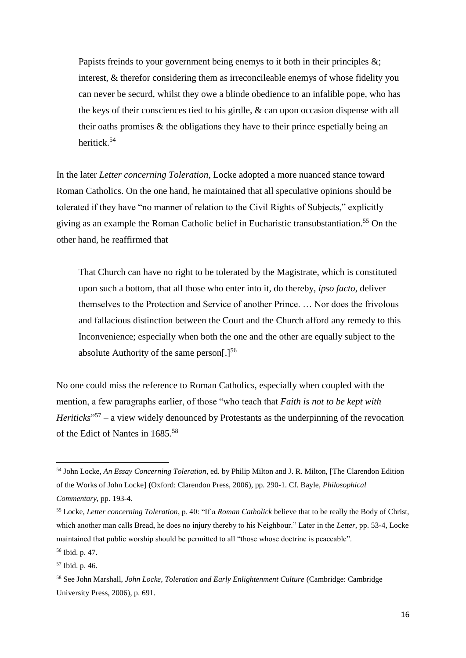Papists freinds to your government being enemys to it both in their principles  $\&$ ; interest, & therefor considering them as irreconcileable enemys of whose fidelity you can never be securd, whilst they owe a blinde obedience to an infalible pope, who has the keys of their consciences tied to his girdle, & can upon occasion dispense with all their oaths promises & the obligations they have to their prince espetially being an heritick.<sup>54</sup>

In the later *Letter concerning Toleration*, Locke adopted a more nuanced stance toward Roman Catholics. On the one hand, he maintained that all speculative opinions should be tolerated if they have "no manner of relation to the Civil Rights of Subjects," explicitly giving as an example the Roman Catholic belief in Eucharistic transubstantiation. <sup>55</sup> On the other hand, he reaffirmed that

That Church can have no right to be tolerated by the Magistrate, which is constituted upon such a bottom, that all those who enter into it, do thereby, *ipso facto*, deliver themselves to the Protection and Service of another Prince. … Nor does the frivolous and fallacious distinction between the Court and the Church afford any remedy to this Inconvenience; especially when both the one and the other are equally subject to the absolute Authority of the same person $[.]^{56}$ 

No one could miss the reference to Roman Catholics, especially when coupled with the mention, a few paragraphs earlier, of those "who teach that *Faith is not to be kept with*  Heriticks<sup>"57</sup> – a view widely denounced by Protestants as the underpinning of the revocation of the Edict of Nantes in 1685.<sup>58</sup>

<sup>54</sup> John Locke, *An Essay Concerning Toleration*, ed. by Philip Milton and J. R. Milton, [The Clarendon Edition of the Works of John Locke] **(**Oxford: Clarendon Press, 2006), pp. 290-1. Cf. Bayle, *Philosophical Commentary*, pp. 193-4.

<sup>55</sup> Locke, *Letter concerning Toleration*, p. 40: "If a *Roman Catholick* believe that to be really the Body of Christ, which another man calls Bread, he does no injury thereby to his Neighbour." Later in the *Letter*, pp. 53-4, Locke maintained that public worship should be permitted to all "those whose doctrine is peaceable".

<sup>56</sup> Ibid. p. 47.

<sup>57</sup> Ibid. p. 46.

<sup>58</sup> See John Marshall, *John Locke, Toleration and Early Enlightenment Culture* (Cambridge: Cambridge University Press, 2006), p. 691.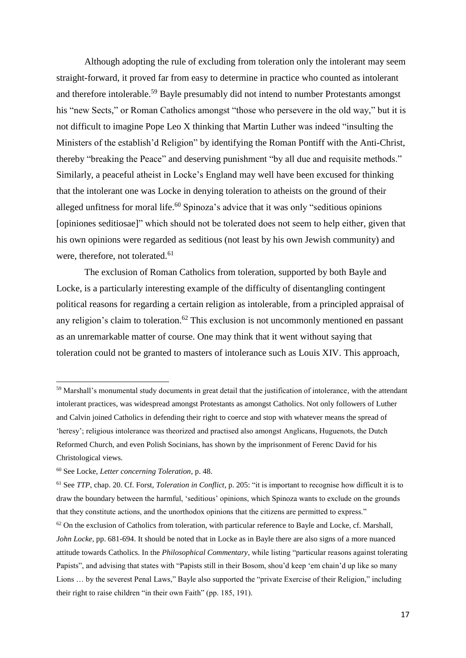Although adopting the rule of excluding from toleration only the intolerant may seem straight-forward, it proved far from easy to determine in practice who counted as intolerant and therefore intolerable. <sup>59</sup> Bayle presumably did not intend to number Protestants amongst his "new Sects," or Roman Catholics amongst "those who persevere in the old way," but it is not difficult to imagine Pope Leo X thinking that Martin Luther was indeed "insulting the Ministers of the establish'd Religion" by identifying the Roman Pontiff with the Anti-Christ, thereby "breaking the Peace" and deserving punishment "by all due and requisite methods." Similarly, a peaceful atheist in Locke's England may well have been excused for thinking that the intolerant one was Locke in denying toleration to atheists on the ground of their alleged unfitness for moral life. <sup>60</sup> Spinoza's advice that it was only "seditious opinions [opiniones seditiosae]" which should not be tolerated does not seem to help either, given that his own opinions were regarded as seditious (not least by his own Jewish community) and were, therefore, not tolerated.<sup>61</sup>

The exclusion of Roman Catholics from toleration, supported by both Bayle and Locke, is a particularly interesting example of the difficulty of disentangling contingent political reasons for regarding a certain religion as intolerable, from a principled appraisal of any religion's claim to toleration.<sup>62</sup> This exclusion is not uncommonly mentioned en passant as an unremarkable matter of course. One may think that it went without saying that toleration could not be granted to masters of intolerance such as Louis XIV. This approach,

<sup>59</sup> Marshall's monumental study documents in great detail that the justification of intolerance*,* with the attendant intolerant practices, was widespread amongst Protestants as amongst Catholics. Not only followers of Luther and Calvin joined Catholics in defending their right to coerce and stop with whatever means the spread of 'heresy'; religious intolerance was theorized and practised also amongst Anglicans, Huguenots, the Dutch Reformed Church, and even Polish Socinians, has shown by the imprisonment of Ferenc David for his Christological views.

<sup>60</sup> See Locke, *Letter concerning Toleration*, p. 48.

<sup>61</sup> See *TTP*, chap. 20. Cf. Forst, *Toleration in Conflict*, p. 205: "it is important to recognise how difficult it is to draw the boundary between the harmful, 'seditious' opinions, which Spinoza wants to exclude on the grounds that they constitute actions, and the unorthodox opinions that the citizens are permitted to express."

 $62$  On the exclusion of Catholics from toleration, with particular reference to Bayle and Locke, cf. Marshall, *John Locke*, pp. 681-694. It should be noted that in Locke as in Bayle there are also signs of a more nuanced attitude towards Catholics. In the *Philosophical Commentary*, while listing "particular reasons against tolerating Papists", and advising that states with "Papists still in their Bosom, shou'd keep 'em chain'd up like so many Lions … by the severest Penal Laws," Bayle also supported the "private Exercise of their Religion," including their right to raise children "in their own Faith" (pp. 185, 191).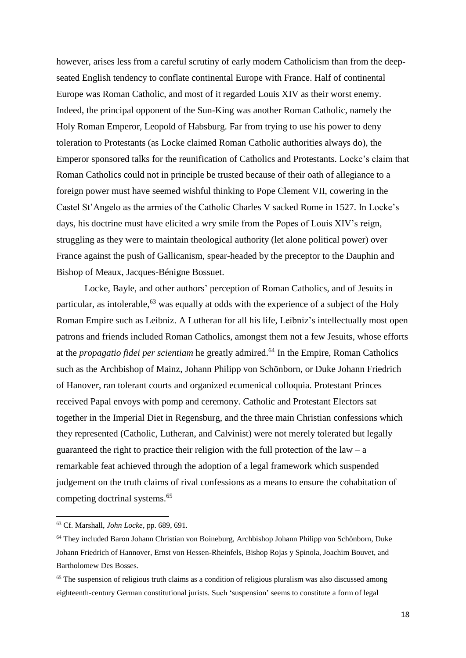however, arises less from a careful scrutiny of early modern Catholicism than from the deepseated English tendency to conflate continental Europe with France. Half of continental Europe was Roman Catholic, and most of it regarded Louis XIV as their worst enemy. Indeed, the principal opponent of the Sun-King was another Roman Catholic, namely the Holy Roman Emperor, Leopold of Habsburg. Far from trying to use his power to deny toleration to Protestants (as Locke claimed Roman Catholic authorities always do), the Emperor sponsored talks for the reunification of Catholics and Protestants. Locke's claim that Roman Catholics could not in principle be trusted because of their oath of allegiance to a foreign power must have seemed wishful thinking to Pope Clement VII, cowering in the Castel St'Angelo as the armies of the Catholic Charles V sacked Rome in 1527. In Locke's days, his doctrine must have elicited a wry smile from the Popes of Louis XIV's reign, struggling as they were to maintain theological authority (let alone political power) over France against the push of Gallicanism, spear-headed by the preceptor to the Dauphin and Bishop of Meaux, Jacques-Bénigne Bossuet.

Locke, Bayle, and other authors' perception of Roman Catholics, and of Jesuits in particular, as intolerable,<sup>63</sup> was equally at odds with the experience of a subject of the Holy Roman Empire such as Leibniz. A Lutheran for all his life, Leibniz's intellectually most open patrons and friends included Roman Catholics, amongst them not a few Jesuits, whose efforts at the *propagatio fidei per scientiam* he greatly admired. <sup>64</sup> In the Empire, Roman Catholics such as the Archbishop of Mainz, Johann Philipp von Schönborn, or Duke Johann Friedrich of Hanover, ran tolerant courts and organized ecumenical colloquia. Protestant Princes received Papal envoys with pomp and ceremony. Catholic and Protestant Electors sat together in the Imperial Diet in Regensburg, and the three main Christian confessions which they represented (Catholic, Lutheran, and Calvinist) were not merely tolerated but legally guaranteed the right to practice their religion with the full protection of the law –  $a$ remarkable feat achieved through the adoption of a legal framework which suspended judgement on the truth claims of rival confessions as a means to ensure the cohabitation of competing doctrinal systems. 65

 $\overline{a}$ 

<sup>63</sup> Cf. Marshall, *John Locke*, pp. 689, 691.

<sup>64</sup> They included Baron Johann Christian von Boineburg, Archbishop Johann Philipp von Schönborn, Duke Johann Friedrich of Hannover, Ernst von Hessen-Rheinfels, Bishop Rojas y Spinola, Joachim Bouvet, and Bartholomew Des Bosses.

<sup>&</sup>lt;sup>65</sup> The suspension of religious truth claims as a condition of religious pluralism was also discussed among eighteenth-century German constitutional jurists. Such 'suspension' seems to constitute a form of legal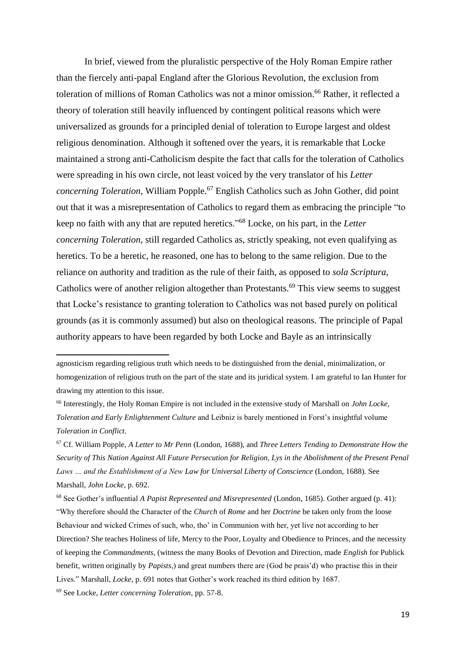In brief, viewed from the pluralistic perspective of the Holy Roman Empire rather than the fiercely anti-papal England after the Glorious Revolution, the exclusion from toleration of millions of Roman Catholics was not a minor omission. <sup>66</sup> Rather, it reflected a theory of toleration still heavily influenced by contingent political reasons which were universalized as grounds for a principled denial of toleration to Europe largest and oldest religious denomination. Although it softened over the years, it is remarkable that Locke maintained a strong anti-Catholicism despite the fact that calls for the toleration of Catholics were spreading in his own circle, not least voiced by the very translator of his *Letter concerning Toleration*, William Popple.<sup>67</sup> English Catholics such as John Gother, did point out that it was a misrepresentation of Catholics to regard them as embracing the principle "to keep no faith with any that are reputed heretics."<sup>68</sup> Locke, on his part, in the *Letter concerning Toleration*, still regarded Catholics as, strictly speaking, not even qualifying as heretics. To be a heretic, he reasoned, one has to belong to the same religion. Due to the reliance on authority and tradition as the rule of their faith, as opposed to *sola Scriptura*, Catholics were of another religion altogether than Protestants.<sup>69</sup> This view seems to suggest that Locke's resistance to granting toleration to Catholics was not based purely on political grounds (as it is commonly assumed) but also on theological reasons. The principle of Papal authority appears to have been regarded by both Locke and Bayle as an intrinsically

<sup>69</sup> See Locke, *Letter concerning Toleration*, pp. 57-8.

agnosticism regarding religious truth which needs to be distinguished from the denial, minimalization, or homogenization of religious truth on the part of the state and its juridical system. I am grateful to Ian Hunter for drawing my attention to this issue.

<sup>66</sup> Interestingly, the Holy Roman Empire is not included in the extensive study of Marshall on *John Locke, Toleration and Early Enlightenment Culture* and Leibniz is barely mentioned in Forst's insightful volume *Toleration in Conflict*.

<sup>67</sup> Cf. William Popple, *A Letter to Mr Penn* (London, 1688), and *Three Letters Tending to Demonstrate How the Security of This Nation Against All Future Persecution for Religion, Lys in the Abolishment of the Present Penal Laws … and the Establishment of a New Law for Universal Liberty of Conscience* (London, 1688)*.* See Marshall, *John Locke*, p. 692.

<sup>68</sup> See Gother's influential *A Papist Represented and Misrepresented* (London, 1685). Gother argued (p. 41): "Why therefore should the Character of the *Church* of *Rome* and her *Doctrine* be taken only from the loose Behaviour and wicked Crimes of such, who, tho' in Communion with her, yet live not according to her Direction? She teaches Holiness of life, Mercy to the Poor, Loyalty and Obedience to Princes, and the necessity of keeping the *Commandments*, (witness the many Books of Devotion and Direction, made *English* for Publick benefit, written originally by *Papists*,) and great numbers there are (God be prais'd) who practise this in their Lives." Marshall, *Locke*, p. 691 notes that Gother's work reached its third edition by 1687.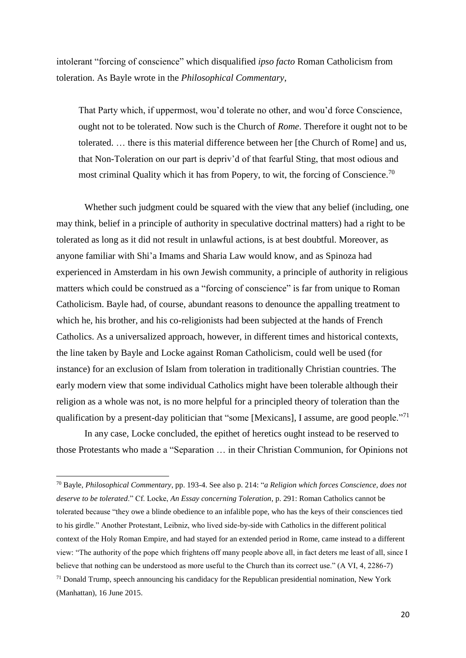intolerant "forcing of conscience" which disqualified *ipso facto* Roman Catholicism from toleration. As Bayle wrote in the *Philosophical Commentary*,

That Party which, if uppermost, wou'd tolerate no other, and wou'd force Conscience, ought not to be tolerated. Now such is the Church of *Rome*. Therefore it ought not to be tolerated. … there is this material difference between her [the Church of Rome] and us, that Non-Toleration on our part is depriv'd of that fearful Sting, that most odious and most criminal Quality which it has from Popery, to wit, the forcing of Conscience.<sup>70</sup>

Whether such judgment could be squared with the view that any belief (including, one may think, belief in a principle of authority in speculative doctrinal matters) had a right to be tolerated as long as it did not result in unlawful actions, is at best doubtful. Moreover, as anyone familiar with Shi'a Imams and Sharia Law would know, and as Spinoza had experienced in Amsterdam in his own Jewish community, a principle of authority in religious matters which could be construed as a "forcing of conscience" is far from unique to Roman Catholicism. Bayle had, of course, abundant reasons to denounce the appalling treatment to which he, his brother, and his co-religionists had been subjected at the hands of French Catholics. As a universalized approach, however, in different times and historical contexts, the line taken by Bayle and Locke against Roman Catholicism, could well be used (for instance) for an exclusion of Islam from toleration in traditionally Christian countries. The early modern view that some individual Catholics might have been tolerable although their religion as a whole was not, is no more helpful for a principled theory of toleration than the qualification by a present-day politician that "some [Mexicans], I assume, are good people."<sup>71</sup>

In any case, Locke concluded, the epithet of heretics ought instead to be reserved to those Protestants who made a "Separation … in their Christian Communion, for Opinions not

<sup>70</sup> Bayle, *Philosophical Commentary*, pp. 193-4. See also p. 214: "*a Religion which forces Conscience, does not deserve to be tolerated*." Cf. Locke, *An Essay concerning Toleration*, p. 291: Roman Catholics cannot be tolerated because "they owe a blinde obedience to an infalible pope, who has the keys of their consciences tied to his girdle." Another Protestant, Leibniz, who lived side-by-side with Catholics in the different political context of the Holy Roman Empire, and had stayed for an extended period in Rome, came instead to a different view: "The authority of the pope which frightens off many people above all, in fact deters me least of all, since I believe that nothing can be understood as more useful to the Church than its correct use." (A VI, 4, 2286-7)  $71$  Donald Trump, speech announcing his candidacy for the Republican presidential nomination, New York (Manhattan), 16 June 2015.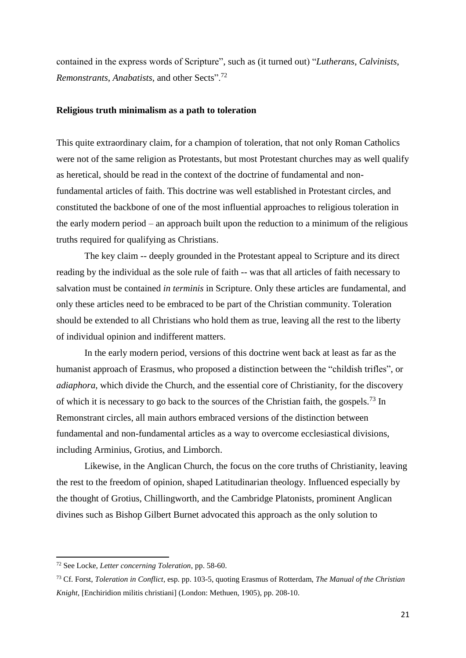contained in the express words of Scripture", such as (it turned out) "*Lutherans*, *Calvinists*, *Remonstrants*, *Anabatists*, and other Sects".<sup>72</sup>

#### **Religious truth minimalism as a path to toleration**

This quite extraordinary claim, for a champion of toleration, that not only Roman Catholics were not of the same religion as Protestants, but most Protestant churches may as well qualify as heretical, should be read in the context of the doctrine of fundamental and nonfundamental articles of faith. This doctrine was well established in Protestant circles, and constituted the backbone of one of the most influential approaches to religious toleration in the early modern period – an approach built upon the reduction to a minimum of the religious truths required for qualifying as Christians.

The key claim -- deeply grounded in the Protestant appeal to Scripture and its direct reading by the individual as the sole rule of faith -- was that all articles of faith necessary to salvation must be contained *in terminis* in Scripture. Only these articles are fundamental, and only these articles need to be embraced to be part of the Christian community. Toleration should be extended to all Christians who hold them as true, leaving all the rest to the liberty of individual opinion and indifferent matters.

In the early modern period, versions of this doctrine went back at least as far as the humanist approach of Erasmus, who proposed a distinction between the "childish trifles", or *adiaphora*, which divide the Church, and the essential core of Christianity, for the discovery of which it is necessary to go back to the sources of the Christian faith, the gospels.<sup>73</sup> In Remonstrant circles, all main authors embraced versions of the distinction between fundamental and non-fundamental articles as a way to overcome ecclesiastical divisions, including Arminius, Grotius, and Limborch.

Likewise, in the Anglican Church, the focus on the core truths of Christianity, leaving the rest to the freedom of opinion, shaped Latitudinarian theology. Influenced especially by the thought of Grotius, Chillingworth, and the Cambridge Platonists, prominent Anglican divines such as Bishop Gilbert Burnet advocated this approach as the only solution to

<sup>72</sup> See Locke, *Letter concerning Toleration*, pp. 58-60.

<sup>73</sup> Cf. Forst, *Toleration in Conflict*, esp. pp. 103-5, quoting Erasmus of Rotterdam, *The Manual of the Christian Knight*, [Enchiridion militis christiani] (London: Methuen, 1905), pp. 208-10.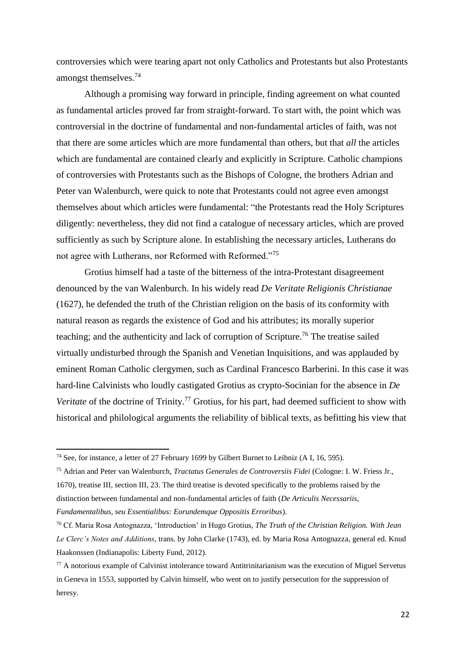controversies which were tearing apart not only Catholics and Protestants but also Protestants amongst themselves.<sup>74</sup>

Although a promising way forward in principle, finding agreement on what counted as fundamental articles proved far from straight-forward. To start with, the point which was controversial in the doctrine of fundamental and non-fundamental articles of faith, was not that there are some articles which are more fundamental than others, but that *all* the articles which are fundamental are contained clearly and explicitly in Scripture. Catholic champions of controversies with Protestants such as the Bishops of Cologne, the brothers Adrian and Peter van Walenburch, were quick to note that Protestants could not agree even amongst themselves about which articles were fundamental: "the Protestants read the Holy Scriptures diligently: nevertheless, they did not find a catalogue of necessary articles, which are proved sufficiently as such by Scripture alone. In establishing the necessary articles, Lutherans do not agree with Lutherans, nor Reformed with Reformed."<sup>75</sup>

Grotius himself had a taste of the bitterness of the intra-Protestant disagreement denounced by the van Walenburch. In his widely read *De Veritate Religionis Christianae*  (1627), he defended the truth of the Christian religion on the basis of its conformity with natural reason as regards the existence of God and his attributes; its morally superior teaching; and the authenticity and lack of corruption of Scripture.<sup>76</sup> The treatise sailed virtually undisturbed through the Spanish and Venetian Inquisitions, and was applauded by eminent Roman Catholic clergymen, such as Cardinal Francesco Barberini. In this case it was hard-line Calvinists who loudly castigated Grotius as crypto-Socinian for the absence in *De Veritate* of the doctrine of Trinity.<sup>77</sup> Grotius, for his part, had deemed sufficient to show with historical and philological arguments the reliability of biblical texts, as befitting his view that

<sup>&</sup>lt;sup>74</sup> See, for instance, a letter of 27 February 1699 by Gilbert Burnet to Leibniz (A I, 16, 595).

<sup>75</sup> Adrian and Peter van Walenburch, *Tractatus Generales de Controversiis Fidei* (Cologne: I. W. Friess Jr., 1670), treatise III, section III, 23. The third treatise is devoted specifically to the problems raised by the distinction between fundamental and non-fundamental articles of faith (*De Articulis Necessariis, Fundamentalibus, seu Essentialibus: Eorundemque Oppositis Erroribus*).

<sup>76</sup> Cf. Maria Rosa Antognazza, 'Introduction' in Hugo Grotius, *The Truth of the Christian Religion. With Jean Le Clerc's Notes and Additions*, trans. by John Clarke (1743), ed. by Maria Rosa Antognazza, general ed. Knud Haakonssen (Indianapolis: Liberty Fund, 2012).

 $77$  A notorious example of Calvinist intolerance toward Antitrinitarianism was the execution of Miguel Servetus in Geneva in 1553, supported by Calvin himself, who went on to justify persecution for the suppression of heresy.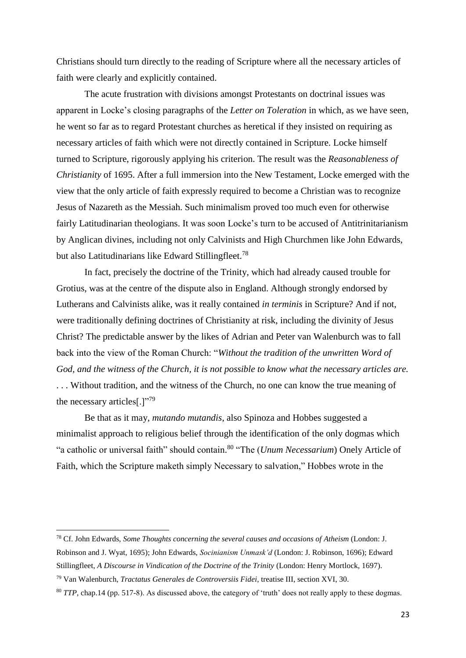Christians should turn directly to the reading of Scripture where all the necessary articles of faith were clearly and explicitly contained.

The acute frustration with divisions amongst Protestants on doctrinal issues was apparent in Locke's closing paragraphs of the *Letter on Toleration* in which, as we have seen, he went so far as to regard Protestant churches as heretical if they insisted on requiring as necessary articles of faith which were not directly contained in Scripture. Locke himself turned to Scripture, rigorously applying his criterion. The result was the *Reasonableness of Christianity* of 1695. After a full immersion into the New Testament, Locke emerged with the view that the only article of faith expressly required to become a Christian was to recognize Jesus of Nazareth as the Messiah. Such minimalism proved too much even for otherwise fairly Latitudinarian theologians. It was soon Locke's turn to be accused of Antitrinitarianism by Anglican divines, including not only Calvinists and High Churchmen like John Edwards, but also Latitudinarians like Edward Stillingfleet.<sup>78</sup>

In fact, precisely the doctrine of the Trinity, which had already caused trouble for Grotius, was at the centre of the dispute also in England. Although strongly endorsed by Lutherans and Calvinists alike, was it really contained *in terminis* in Scripture? And if not, were traditionally defining doctrines of Christianity at risk, including the divinity of Jesus Christ? The predictable answer by the likes of Adrian and Peter van Walenburch was to fall back into the view of the Roman Church: "*Without the tradition of the unwritten Word of God, and the witness of the Church, it is not possible to know what the necessary articles are.*  . . . Without tradition, and the witness of the Church, no one can know the true meaning of the necessary articles[.]"<sup>79</sup>

Be that as it may, *mutando mutandis*, also Spinoza and Hobbes suggested a minimalist approach to religious belief through the identification of the only dogmas which "a catholic or universal faith" should contain. <sup>80</sup> "The (*Unum Necessarium*) Onely Article of Faith, which the Scripture maketh simply Necessary to salvation," Hobbes wrote in the

<sup>78</sup> Cf. John Edwards, *Some Thoughts concerning the several causes and occasions of Atheism* (London: J. Robinson and J. Wyat, 1695); John Edwards, *Socinianism Unmask'd* (London: J. Robinson, 1696); Edward Stillingfleet, *A Discourse in Vindication of the Doctrine of the Trinity* (London: Henry Mortlock, 1697).

<sup>79</sup> Van Walenburch, *Tractatus Generales de Controversiis Fidei,* treatise III, section XVI, 30.

<sup>&</sup>lt;sup>80</sup> *TTP*. chap.14 (pp. 517-8). As discussed above, the category of 'truth' does not really apply to these dogmas.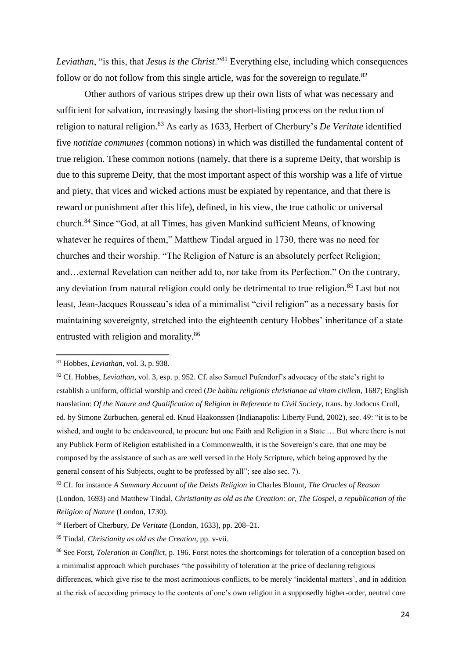*Leviathan*, "is this, that *Jesus is the Christ*."<sup>81</sup> Everything else, including which consequences follow or do not follow from this single article, was for the sovereign to regulate.<sup>82</sup>

Other authors of various stripes drew up their own lists of what was necessary and sufficient for salvation, increasingly basing the short-listing process on the reduction of religion to natural religion.<sup>83</sup> As early as 1633, Herbert of Cherbury's *De Veritate* identified five *notitiae communes* (common notions) in which was distilled the fundamental content of true religion. These common notions (namely, that there is a supreme Deity, that worship is due to this supreme Deity, that the most important aspect of this worship was a life of virtue and piety, that vices and wicked actions must be expiated by repentance, and that there is reward or punishment after this life), defined, in his view, the true catholic or universal church. <sup>84</sup> Since "God, at all Times, has given Mankind sufficient Means, of knowing whatever he requires of them," Matthew Tindal argued in 1730, there was no need for churches and their worship. "The Religion of Nature is an absolutely perfect Religion; and…external Revelation can neither add to, nor take from its Perfection." On the contrary, any deviation from natural religion could only be detrimental to true religion.<sup>85</sup> Last but not least, Jean-Jacques Rousseau's idea of a minimalist "civil religion" as a necessary basis for maintaining sovereignty, stretched into the eighteenth century Hobbes' inheritance of a state entrusted with religion and morality.<sup>86</sup>

<sup>81</sup> Hobbes, *Leviathan*, vol. 3, p. 938.

<sup>82</sup> Cf. Hobbes, *Leviathan*, vol. 3, esp. p. 952. Cf. also Samuel Pufendorf's advocacy of the state's right to establish a uniform, official worship and creed (*De habitu religionis christianae ad vitam civilem*, 1687; English translation: *Of the Nature and Qualification of Religion in Reference to Civil Society*, trans. by Jodocus Crull, ed. by Simone Zurbuchen, general ed. Knud Haakonssen (Indianapolis: Liberty Fund, 2002), sec. 49: "it is to be wished, and ought to be endeavoured, to procure but one Faith and Religion in a State … But where there is not any Publick Form of Religion established in a Commonwealth, it is the Sovereign's care, that one may be composed by the assistance of such as are well versed in the Holy Scripture, which being approved by the general consent of his Subjects, ought to be professed by all"; see also sec. 7).

<sup>83</sup> Cf. for instance *A Summary Account of the Deists Religion* in Charles Blount, *The Oracles of Reason* (London, 1693) and Matthew Tindal, *Christianity as old as the Creation: or, The Gospel, a republication of the Religion of Nature* (London, 1730).

<sup>84</sup> Herbert of Cherbury, *De Veritate* (London, 1633), pp. 208–21.

<sup>85</sup> Tindal, *Christianity as old as the Creation*, pp. v-vii.

<sup>86</sup> See Forst, *Toleration in Conflict*, p. 196. Forst notes the shortcomings for toleration of a conception based on a minimalist approach which purchases "the possibility of toleration at the price of declaring religious differences, which give rise to the most acrimonious conflicts, to be merely 'incidental matters', and in addition at the risk of according primacy to the contents of one's own religion in a supposedly higher-order, neutral core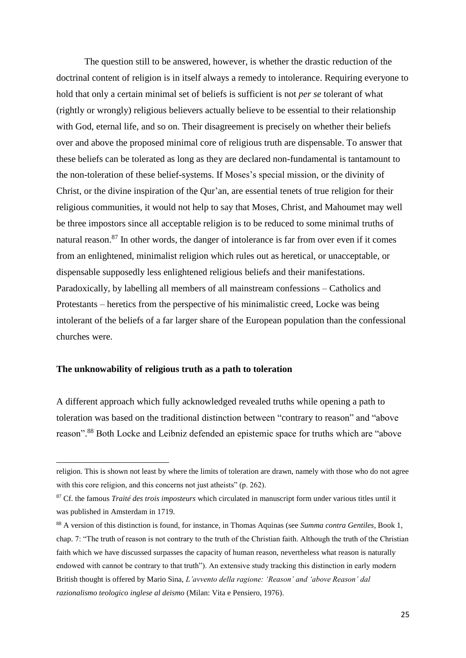The question still to be answered, however, is whether the drastic reduction of the doctrinal content of religion is in itself always a remedy to intolerance. Requiring everyone to hold that only a certain minimal set of beliefs is sufficient is not *per se* tolerant of what (rightly or wrongly) religious believers actually believe to be essential to their relationship with God, eternal life, and so on. Their disagreement is precisely on whether their beliefs over and above the proposed minimal core of religious truth are dispensable. To answer that these beliefs can be tolerated as long as they are declared non-fundamental is tantamount to the non-toleration of these belief-systems. If Moses's special mission, or the divinity of Christ, or the divine inspiration of the Qur'an, are essential tenets of true religion for their religious communities, it would not help to say that Moses, Christ, and Mahoumet may well be three impostors since all acceptable religion is to be reduced to some minimal truths of natural reason.<sup>87</sup> In other words, the danger of intolerance is far from over even if it comes from an enlightened, minimalist religion which rules out as heretical, or unacceptable, or dispensable supposedly less enlightened religious beliefs and their manifestations. Paradoxically, by labelling all members of all mainstream confessions – Catholics and Protestants – heretics from the perspective of his minimalistic creed, Locke was being intolerant of the beliefs of a far larger share of the European population than the confessional churches were.

## **The unknowability of religious truth as a path to toleration**

1

A different approach which fully acknowledged revealed truths while opening a path to toleration was based on the traditional distinction between "contrary to reason" and "above reason". <sup>88</sup> Both Locke and Leibniz defended an epistemic space for truths which are "above

religion. This is shown not least by where the limits of toleration are drawn, namely with those who do not agree with this core religion, and this concerns not just atheists" (p. 262).

<sup>87</sup> Cf. the famous *Traité des trois imposteurs* which circulated in manuscript form under various titles until it was published in Amsterdam in 1719.

<sup>88</sup> A version of this distinction is found, for instance, in Thomas Aquinas (see *Summa contra Gentiles*, Book 1, chap. 7: "The truth of reason is not contrary to the truth of the Christian faith. Although the truth of the Christian faith which we have discussed surpasses the capacity of human reason, nevertheless what reason is naturally endowed with cannot be contrary to that truth"). An extensive study tracking this distinction in early modern British thought is offered by Mario Sina, *L'avvento della ragione: 'Reason' and 'above Reason' dal razionalismo teologico inglese al deismo* (Milan: Vita e Pensiero, 1976).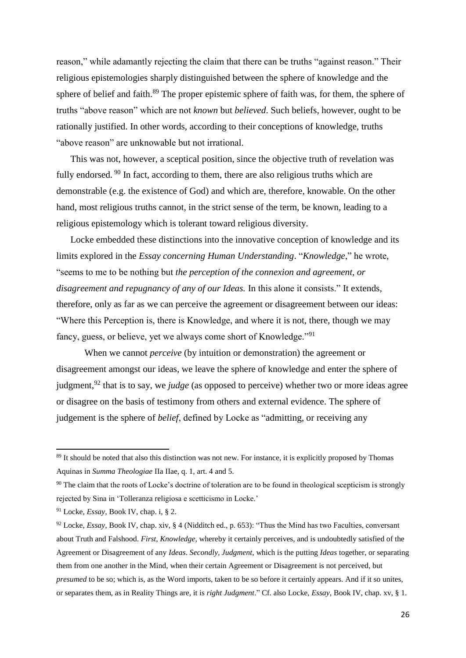reason," while adamantly rejecting the claim that there can be truths "against reason." Their religious epistemologies sharply distinguished between the sphere of knowledge and the sphere of belief and faith.<sup>89</sup> The proper epistemic sphere of faith was, for them, the sphere of truths "above reason" which are not *known* but *believed*. Such beliefs, however, ought to be rationally justified. In other words, according to their conceptions of knowledge, truths "above reason" are unknowable but not irrational.

This was not, however, a sceptical position, since the objective truth of revelation was fully endorsed.  $90$  In fact, according to them, there are also religious truths which are demonstrable (e.g. the existence of God) and which are, therefore, knowable. On the other hand, most religious truths cannot, in the strict sense of the term, be known, leading to a religious epistemology which is tolerant toward religious diversity.

Locke embedded these distinctions into the innovative conception of knowledge and its limits explored in the *Essay concerning Human Understanding*. "*Knowledge*," he wrote, "seems to me to be nothing but *the perception of the connexion and agreement, or disagreement and repugnancy of any of our Ideas.* In this alone it consists." It extends, therefore, only as far as we can perceive the agreement or disagreement between our ideas: "Where this Perception is, there is Knowledge, and where it is not, there, though we may fancy, guess, or believe, yet we always come short of Knowledge."<sup>91</sup>

When we cannot *perceive* (by intuition or demonstration) the agreement or disagreement amongst our ideas, we leave the sphere of knowledge and enter the sphere of judgment, <sup>92</sup> that is to say, we *judge* (as opposed to perceive) whether two or more ideas agree or disagree on the basis of testimony from others and external evidence. The sphere of judgement is the sphere of *belief*, defined by Locke as "admitting, or receiving any

<sup>&</sup>lt;sup>89</sup> It should be noted that also this distinction was not new. For instance, it is explicitly proposed by Thomas Aquinas in *Summa Theologiae* IIa IIae, q. 1, art. 4 and 5.

<sup>&</sup>lt;sup>90</sup> The claim that the roots of Locke's doctrine of toleration are to be found in theological scepticism is strongly rejected by Sina in 'Tolleranza religiosa e scetticismo in Locke.'

<sup>91</sup> Locke, *Essay*, Book IV, chap. i, § 2.

<sup>&</sup>lt;sup>92</sup> Locke, *Essay*, Book IV, chap. xiv, § 4 (Nidditch ed., p. 653): "Thus the Mind has two Faculties, conversant about Truth and Falshood. *First, Knowledge*, whereby it certainly perceives, and is undoubtedly satisfied of the Agreement or Disagreement of any *Ideas*. *Secondly, Judgment*, which is the putting *Ideas* together, or separating them from one another in the Mind, when their certain Agreement or Disagreement is not perceived, but *presumed* to be so; which is, as the Word imports, taken to be so before it certainly appears. And if it so unites, or separates them, as in Reality Things are, it is *right Judgment*." Cf. also Locke, *Essay*, Book IV, chap. xv, § 1.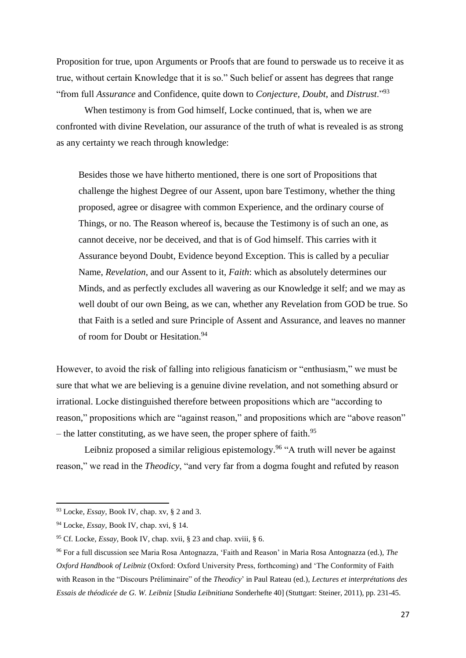Proposition for true, upon Arguments or Proofs that are found to perswade us to receive it as true, without certain Knowledge that it is so." Such belief or assent has degrees that range "from full *Assurance* and Confidence, quite down to *Conjecture, Doubt*, and *Distrust*."<sup>93</sup>

When testimony is from God himself, Locke continued, that is, when we are confronted with divine Revelation, our assurance of the truth of what is revealed is as strong as any certainty we reach through knowledge:

Besides those we have hitherto mentioned, there is one sort of Propositions that challenge the highest Degree of our Assent, upon bare Testimony, whether the thing proposed, agree or disagree with common Experience, and the ordinary course of Things, or no. The Reason whereof is, because the Testimony is of such an one, as cannot deceive, nor be deceived, and that is of God himself. This carries with it Assurance beyond Doubt, Evidence beyond Exception. This is called by a peculiar Name, *Revelation*, and our Assent to it, *Faith*: which as absolutely determines our Minds, and as perfectly excludes all wavering as our Knowledge it self; and we may as well doubt of our own Being, as we can, whether any Revelation from GOD be true. So that Faith is a setled and sure Principle of Assent and Assurance, and leaves no manner of room for Doubt or Hesitation.<sup>94</sup>

However, to avoid the risk of falling into religious fanaticism or "enthusiasm," we must be sure that what we are believing is a genuine divine revelation, and not something absurd or irrational. Locke distinguished therefore between propositions which are "according to reason," propositions which are "against reason," and propositions which are "above reason" – the latter constituting, as we have seen, the proper sphere of faith.<sup>95</sup>

Leibniz proposed a similar religious epistemology.<sup>96</sup> "A truth will never be against reason," we read in the *Theodicy*, "and very far from a dogma fought and refuted by reason

<sup>93</sup> Locke, *Essay*, Book IV, chap. xv, § 2 and 3.

<sup>94</sup> Locke, *Essay*, Book IV, chap. xvi, § 14.

<sup>95</sup> Cf. Locke, *Essay*, Book IV, chap. xvii, § 23 and chap. xviii, § 6.

<sup>96</sup> For a full discussion see Maria Rosa Antognazza, 'Faith and Reason' in Maria Rosa Antognazza (ed.), *The Oxford Handbook of Leibniz* (Oxford: Oxford University Press, forthcoming) and 'The Conformity of Faith with Reason in the "Discours Préliminaire" of the *Theodicy*' in Paul Rateau (ed.), *Lectures et interprétations des Essais de théodicée de G. W. Leibniz* [*Studia Leibnitiana* Sonderhefte 40] (Stuttgart: Steiner, 2011), pp. 231-45.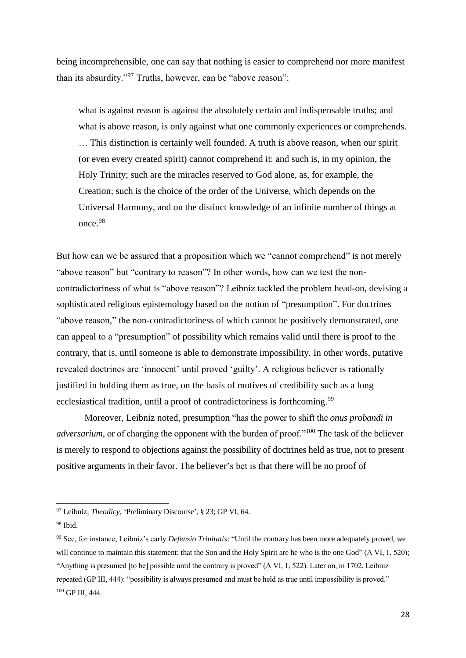being incomprehensible, one can say that nothing is easier to comprehend nor more manifest than its absurdity."<sup>97</sup> Truths, however, can be "above reason":

what is against reason is against the absolutely certain and indispensable truths; and what is above reason, is only against what one commonly experiences or comprehends. … This distinction is certainly well founded. A truth is above reason, when our spirit (or even every created spirit) cannot comprehend it: and such is, in my opinion, the Holy Trinity; such are the miracles reserved to God alone, as, for example, the Creation; such is the choice of the order of the Universe, which depends on the Universal Harmony, and on the distinct knowledge of an infinite number of things at once.<sup>98</sup>

But how can we be assured that a proposition which we "cannot comprehend" is not merely "above reason" but "contrary to reason"? In other words, how can we test the noncontradictoriness of what is "above reason"? Leibniz tackled the problem head-on, devising a sophisticated religious epistemology based on the notion of "presumption". For doctrines "above reason," the non-contradictoriness of which cannot be positively demonstrated, one can appeal to a "presumption" of possibility which remains valid until there is proof to the contrary, that is, until someone is able to demonstrate impossibility. In other words, putative revealed doctrines are 'innocent' until proved 'guilty'. A religious believer is rationally justified in holding them as true, on the basis of motives of credibility such as a long ecclesiastical tradition, until a proof of contradictoriness is forthcoming.<sup>99</sup>

Moreover, Leibniz noted, presumption "has the power to shift the *onus probandi in adversarium*, or of charging the opponent with the burden of proof."<sup>100</sup> The task of the believer is merely to respond to objections against the possibility of doctrines held as true, not to present positive arguments in their favor. The believer's bet is that there will be no proof of

<sup>97</sup> Leibniz, *Theodicy*, 'Preliminary Discourse', § 23; GP VI, 64.

<sup>98</sup> Ibid.

<sup>99</sup> See, for instance, Leibniz's early *Defensio Trinitatis*: "Until the contrary has been more adequately proved, we will continue to maintain this statement: that the Son and the Holy Spirit are he who is the one God" (A VI, 1, 520); "Anything is presumed [to be] possible until the contrary is proved" (A VI, 1, 522). Later on, in 1702, Leibniz repeated (GP III, 444): "possibility is always presumed and must be held as true until impossibility is proved." <sup>100</sup> GP III, 444.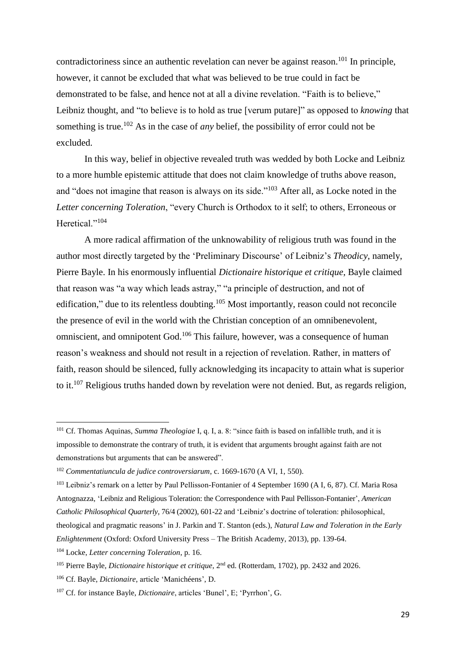contradictoriness since an authentic revelation can never be against reason.<sup>101</sup> In principle, however, it cannot be excluded that what was believed to be true could in fact be demonstrated to be false, and hence not at all a divine revelation. "Faith is to believe," Leibniz thought, and "to believe is to hold as true [verum putare]" as opposed to *knowing* that something is true.<sup>102</sup> As in the case of *any* belief, the possibility of error could not be excluded.

In this way, belief in objective revealed truth was wedded by both Locke and Leibniz to a more humble epistemic attitude that does not claim knowledge of truths above reason, and "does not imagine that reason is always on its side."<sup>103</sup> After all, as Locke noted in the *Letter concerning Toleration*, "every Church is Orthodox to it self; to others, Erroneous or Heretical."<sup>104</sup>

A more radical affirmation of the unknowability of religious truth was found in the author most directly targeted by the 'Preliminary Discourse' of Leibniz's *Theodicy*, namely, Pierre Bayle. In his enormously influential *Dictionaire historique et critique*, Bayle claimed that reason was "a way which leads astray," "a principle of destruction, and not of edification," due to its relentless doubting.<sup>105</sup> Most importantly, reason could not reconcile the presence of evil in the world with the Christian conception of an omnibenevolent, omniscient, and omnipotent God.<sup>106</sup> This failure, however, was a consequence of human reason's weakness and should not result in a rejection of revelation. Rather, in matters of faith, reason should be silenced, fully acknowledging its incapacity to attain what is superior to it.<sup>107</sup> Religious truths handed down by revelation were not denied. But, as regards religion,

<sup>&</sup>lt;sup>101</sup> Cf. Thomas Aquinas, *Summa Theologiae* I, q. I, a. 8: "since faith is based on infallible truth, and it is impossible to demonstrate the contrary of truth, it is evident that arguments brought against faith are not demonstrations but arguments that can be answered".

<sup>102</sup> *Commentatiuncula de judice controversiarum*, c. 1669-1670 (A VI, 1, 550).

<sup>&</sup>lt;sup>103</sup> Leibniz's remark on a letter by Paul Pellisson-Fontanier of 4 September 1690 (A I, 6, 87). Cf. Maria Rosa Antognazza, 'Leibniz and Religious Toleration: the Correspondence with Paul Pellisson-Fontanier', *American Catholic Philosophical Quarterly*, 76/4 (2002), 601-22 and 'Leibniz's doctrine of toleration: philosophical, theological and pragmatic reasons' in J. Parkin and T. Stanton (eds.), *Natural Law and Toleration in the Early Enlightenment* (Oxford: Oxford University Press – The British Academy, 2013), pp. 139-64.

<sup>104</sup> Locke, *Letter concerning Toleration*, p. 16.

<sup>105</sup> Pierre Bayle, *Dictionaire historique et critique*, 2nd ed. (Rotterdam, 1702), pp. 2432 and 2026.

<sup>106</sup> Cf. Bayle, *Dictionaire*, article 'Manichéens', D.

<sup>107</sup> Cf. for instance Bayle, *Dictionaire*, articles 'Bunel', E; 'Pyrrhon', G.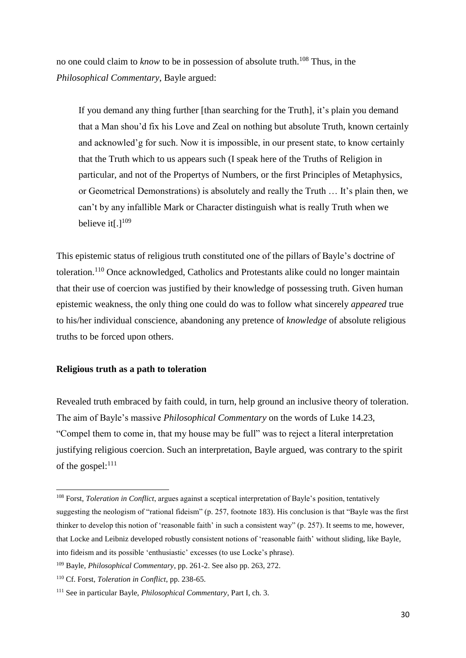no one could claim to *know* to be in possession of absolute truth. <sup>108</sup> Thus, in the *Philosophical Commentary*, Bayle argued:

If you demand any thing further [than searching for the Truth], it's plain you demand that a Man shou'd fix his Love and Zeal on nothing but absolute Truth, known certainly and acknowled'g for such. Now it is impossible, in our present state, to know certainly that the Truth which to us appears such (I speak here of the Truths of Religion in particular, and not of the Propertys of Numbers, or the first Principles of Metaphysics, or Geometrical Demonstrations) is absolutely and really the Truth … It's plain then, we can't by any infallible Mark or Character distinguish what is really Truth when we believe it[.] $109$ 

This epistemic status of religious truth constituted one of the pillars of Bayle's doctrine of toleration.<sup>110</sup> Once acknowledged, Catholics and Protestants alike could no longer maintain that their use of coercion was justified by their knowledge of possessing truth. Given human epistemic weakness, the only thing one could do was to follow what sincerely *appeared* true to his/her individual conscience, abandoning any pretence of *knowledge* of absolute religious truths to be forced upon others.

## **Religious truth as a path to toleration**

Revealed truth embraced by faith could, in turn, help ground an inclusive theory of toleration. The aim of Bayle's massive *Philosophical Commentary* on the words of Luke 14.23, "Compel them to come in, that my house may be full" was to reject a literal interpretation justifying religious coercion. Such an interpretation, Bayle argued, was contrary to the spirit of the gospel: $111$ 

<sup>108</sup> Forst, *Toleration in Conflict*, argues against a sceptical interpretation of Bayle's position, tentatively suggesting the neologism of "rational fideism" (p. 257, footnote 183). His conclusion is that "Bayle was the first thinker to develop this notion of 'reasonable faith' in such a consistent way" (p. 257). It seems to me, however, that Locke and Leibniz developed robustly consistent notions of 'reasonable faith' without sliding, like Bayle, into fideism and its possible 'enthusiastic' excesses (to use Locke's phrase).

<sup>109</sup> Bayle, *Philosophical Commentary*, pp. 261-2. See also pp. 263, 272.

<sup>110</sup> Cf. Forst, *Toleration in Conflict*, pp. 238-65.

<sup>111</sup> See in particular Bayle, *Philosophical Commentary*, Part I, ch. 3.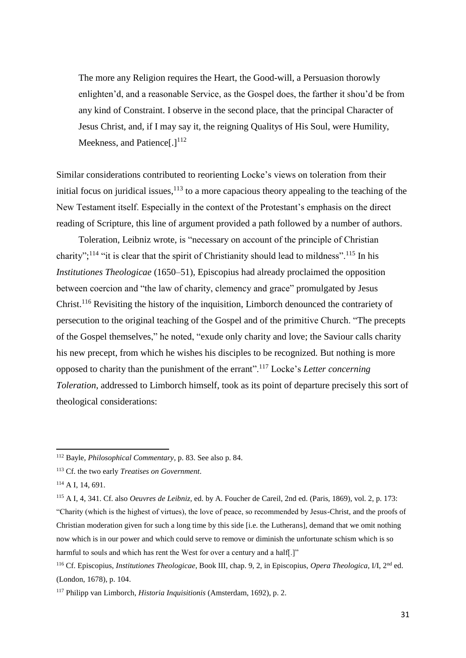The more any Religion requires the Heart, the Good-will, a Persuasion thorowly enlighten'd, and a reasonable Service, as the Gospel does, the farther it shou'd be from any kind of Constraint. I observe in the second place, that the principal Character of Jesus Christ, and, if I may say it, the reigning Qualitys of His Soul, were Humility, Meekness, and Patience $[.]^{112}$ 

Similar considerations contributed to reorienting Locke's views on toleration from their initial focus on juridical issues,  $113$  to a more capacious theory appealing to the teaching of the New Testament itself. Especially in the context of the Protestant's emphasis on the direct reading of Scripture, this line of argument provided a path followed by a number of authors.

Toleration, Leibniz wrote, is "necessary on account of the principle of Christian charity";<sup>114</sup> "it is clear that the spirit of Christianity should lead to mildness".<sup>115</sup> In his *Institutiones Theologicae* (1650–51), Episcopius had already proclaimed the opposition between coercion and "the law of charity, clemency and grace" promulgated by Jesus Christ.<sup>116</sup> Revisiting the history of the inquisition, Limborch denounced the contrariety of persecution to the original teaching of the Gospel and of the primitive Church. "The precepts of the Gospel themselves," he noted, "exude only charity and love; the Saviour calls charity his new precept, from which he wishes his disciples to be recognized. But nothing is more opposed to charity than the punishment of the errant".<sup>117</sup> Locke's *Letter concerning Toleration*, addressed to Limborch himself, took as its point of departure precisely this sort of theological considerations:

<sup>112</sup> Bayle, *Philosophical Commentary*, p. 83. See also p. 84.

<sup>113</sup> Cf. the two early *Treatises on Government*.

 $114$  A I, 14, 691.

<sup>115</sup> A I, 4, 341. Cf. also *Oeuvres de Leibniz,* ed. by A. Foucher de Careil, 2nd ed. (Paris, 1869), vol. 2, p. 173: "Charity (which is the highest of virtues), the love of peace, so recommended by Jesus-Christ, and the proofs of Christian moderation given for such a long time by this side [i.e. the Lutherans], demand that we omit nothing now which is in our power and which could serve to remove or diminish the unfortunate schism which is so harmful to souls and which has rent the West for over a century and a half.]"

<sup>116</sup> Cf. Episcopius, *Institutiones Theologicae*, Book III, chap. 9, 2, in Episcopius, *Opera Theologica*, I/I, 2nd ed. (London, 1678), p. 104.

<sup>117</sup> Philipp van Limborch, *Historia Inquisitionis* (Amsterdam, 1692), p. 2.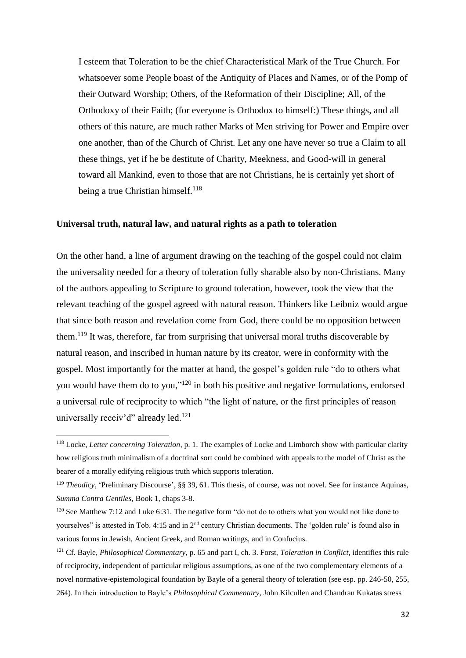I esteem that Toleration to be the chief Characteristical Mark of the True Church. For whatsoever some People boast of the Antiquity of Places and Names, or of the Pomp of their Outward Worship; Others, of the Reformation of their Discipline; All, of the Orthodoxy of their Faith; (for everyone is Orthodox to himself:) These things, and all others of this nature, are much rather Marks of Men striving for Power and Empire over one another, than of the Church of Christ. Let any one have never so true a Claim to all these things, yet if he be destitute of Charity, Meekness, and Good-will in general toward all Mankind, even to those that are not Christians, he is certainly yet short of being a true Christian himself.<sup>118</sup>

## **Universal truth, natural law, and natural rights as a path to toleration**

On the other hand, a line of argument drawing on the teaching of the gospel could not claim the universality needed for a theory of toleration fully sharable also by non-Christians. Many of the authors appealing to Scripture to ground toleration, however, took the view that the relevant teaching of the gospel agreed with natural reason. Thinkers like Leibniz would argue that since both reason and revelation come from God, there could be no opposition between them.<sup>119</sup> It was, therefore, far from surprising that universal moral truths discoverable by natural reason, and inscribed in human nature by its creator, were in conformity with the gospel. Most importantly for the matter at hand, the gospel's golden rule "do to others what you would have them do to you,"<sup>120</sup> in both his positive and negative formulations, endorsed a universal rule of reciprocity to which "the light of nature, or the first principles of reason universally receiv'd" already led.<sup>121</sup>

<sup>118</sup> Locke, *Letter concerning Toleration*, p. 1. The examples of Locke and Limborch show with particular clarity how religious truth minimalism of a doctrinal sort could be combined with appeals to the model of Christ as the bearer of a morally edifying religious truth which supports toleration.

<sup>119</sup> *Theodicy*, 'Preliminary Discourse', §§ 39, 61. This thesis, of course, was not novel. See for instance Aquinas, *Summa Contra Gentiles*, Book 1, chaps 3-8.

<sup>&</sup>lt;sup>120</sup> See Matthew 7:12 and Luke 6:31. The negative form "do not do to others what you would not like done to yourselves" is attested in Tob. 4:15 and in 2nd century Christian documents. The 'golden rule' is found also in various forms in Jewish, Ancient Greek, and Roman writings, and in Confucius.

<sup>121</sup> Cf. Bayle, *Philosophical Commentary*, p. 65 and part I, ch. 3. Forst, *Toleration in Conflict*, identifies this rule of reciprocity, independent of particular religious assumptions, as one of the two complementary elements of a novel normative-epistemological foundation by Bayle of a general theory of toleration (see esp. pp. 246-50, 255, 264). In their introduction to Bayle's *Philosophical Commentary*, John Kilcullen and Chandran Kukatas stress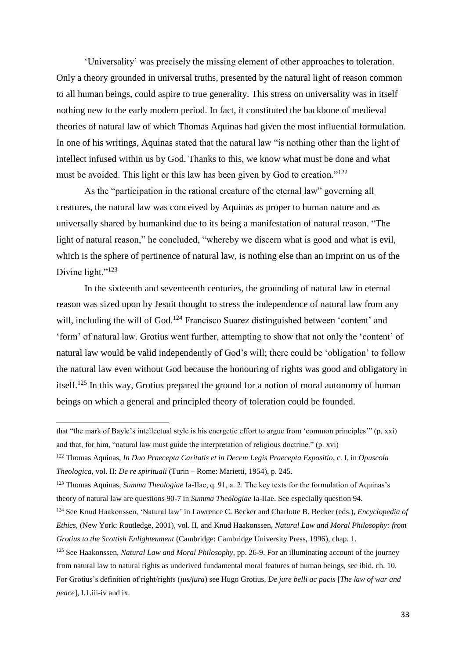'Universality' was precisely the missing element of other approaches to toleration. Only a theory grounded in universal truths, presented by the natural light of reason common to all human beings, could aspire to true generality. This stress on universality was in itself nothing new to the early modern period. In fact, it constituted the backbone of medieval theories of natural law of which Thomas Aquinas had given the most influential formulation. In one of his writings, Aquinas stated that the natural law "is nothing other than the light of intellect infused within us by God. Thanks to this, we know what must be done and what must be avoided. This light or this law has been given by God to creation."<sup>122</sup>

As the "participation in the rational creature of the eternal law" governing all creatures, the natural law was conceived by Aquinas as proper to human nature and as universally shared by humankind due to its being a manifestation of natural reason. "The light of natural reason," he concluded, "whereby we discern what is good and what is evil, which is the sphere of pertinence of natural law, is nothing else than an imprint on us of the Divine light."<sup>123</sup>

In the sixteenth and seventeenth centuries, the grounding of natural law in eternal reason was sized upon by Jesuit thought to stress the independence of natural law from any will, including the will of God.<sup>124</sup> Francisco Suarez distinguished between 'content' and 'form' of natural law. Grotius went further, attempting to show that not only the 'content' of natural law would be valid independently of God's will; there could be 'obligation' to follow the natural law even without God because the honouring of rights was good and obligatory in itself.<sup>125</sup> In this way, Grotius prepared the ground for a notion of moral autonomy of human beings on which a general and principled theory of toleration could be founded.

that "the mark of Bayle's intellectual style is his energetic effort to argue from 'common principles'" (p. xxi) and that, for him, "natural law must guide the interpretation of religious doctrine." (p. xvi)

<sup>122</sup> Thomas Aquinas, *In Duo Praecepta Caritatis et in Decem Legis Praecepta Expositio*, c. I, in *Opuscola Theologica*, vol. II: *De re spirituali* (Turin – Rome: Marietti, 1954), p. 245.

<sup>123</sup> Thomas Aquinas, *Summa Theologiae* Ia-IIae, q. 91, a. 2. The key texts for the formulation of Aquinas's theory of natural law are questions 90-7 in *Summa Theologiae* Ia-IIae. See especially question 94.

<sup>124</sup> See Knud Haakonssen, 'Natural law' in Lawrence C. Becker and Charlotte B. Becker (eds.), *Encyclopedia of Ethics*, (New York: Routledge, 2001), vol. II, and Knud Haakonssen, *Natural Law and Moral Philosophy: from Grotius to the Scottish Enlightenment* (Cambridge: Cambridge University Press, 1996), chap. 1.

<sup>125</sup> See Haakonssen, *Natural Law and Moral Philosophy*, pp. 26-9. For an illuminating account of the journey from natural law to natural rights as underived fundamental moral features of human beings, see ibid. ch. 10. For Grotius's definition of right/rights (*jus/jura*) see Hugo Grotius, *De jure belli ac pacis* [*The law of war and peace*], I.1.iii-iv and ix.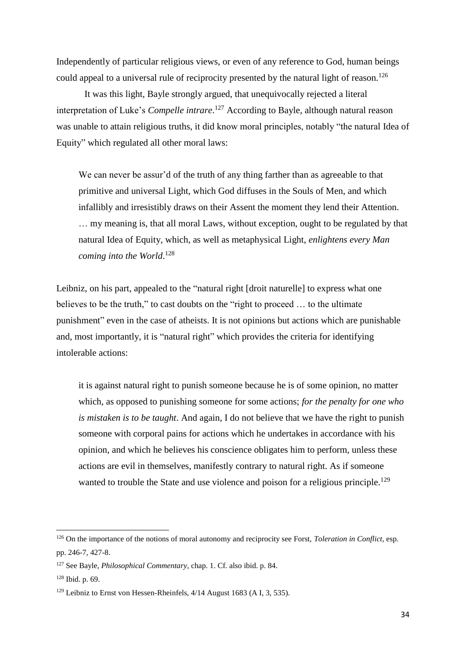Independently of particular religious views, or even of any reference to God, human beings could appeal to a universal rule of reciprocity presented by the natural light of reason.<sup>126</sup>

It was this light, Bayle strongly argued, that unequivocally rejected a literal interpretation of Luke's *Compelle intrare*. <sup>127</sup> According to Bayle, although natural reason was unable to attain religious truths, it did know moral principles, notably "the natural Idea of Equity" which regulated all other moral laws:

We can never be assur'd of the truth of any thing farther than as agreeable to that primitive and universal Light, which God diffuses in the Souls of Men, and which infallibly and irresistibly draws on their Assent the moment they lend their Attention. … my meaning is, that all moral Laws, without exception, ought to be regulated by that natural Idea of Equity, which, as well as metaphysical Light, *enlightens every Man coming into the World*. 128

Leibniz, on his part, appealed to the "natural right [droit naturelle] to express what one believes to be the truth," to cast doubts on the "right to proceed … to the ultimate punishment" even in the case of atheists. It is not opinions but actions which are punishable and, most importantly, it is "natural right" which provides the criteria for identifying intolerable actions:

it is against natural right to punish someone because he is of some opinion, no matter which, as opposed to punishing someone for some actions; *for the penalty for one who is mistaken is to be taught*. And again, I do not believe that we have the right to punish someone with corporal pains for actions which he undertakes in accordance with his opinion, and which he believes his conscience obligates him to perform, unless these actions are evil in themselves, manifestly contrary to natural right. As if someone wanted to trouble the State and use violence and poison for a religious principle.<sup>129</sup>

<sup>126</sup> On the importance of the notions of moral autonomy and reciprocity see Forst, *Toleration in Conflict*, esp. pp. 246-7, 427-8.

<sup>127</sup> See Bayle, *Philosophical Commentary*, chap. 1. Cf. also ibid. p. 84.

<sup>128</sup> Ibid. p. 69.

 $129$  Leibniz to Ernst von Hessen-Rheinfels,  $4/14$  August 1683 (A I, 3, 535).